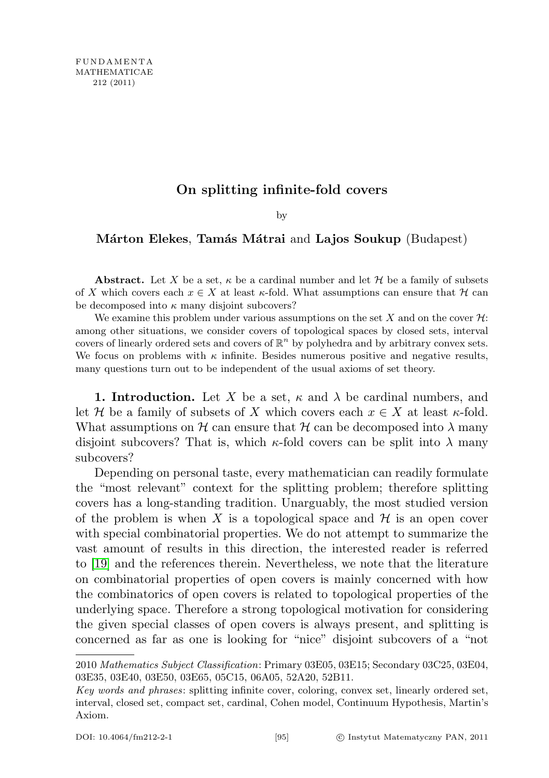## On splitting infinite-fold covers

### by

## Márton Elekes, Tamás Mátrai and Lajos Soukup (Budapest)

**Abstract.** Let X be a set,  $\kappa$  be a cardinal number and let  $\mathcal{H}$  be a family of subsets of X which covers each  $x \in X$  at least  $\kappa$ -fold. What assumptions can ensure that H can be decomposed into  $\kappa$  many disjoint subcovers?

We examine this problem under various assumptions on the set  $X$  and on the cover  $\mathcal{H}$ : among other situations, we consider covers of topological spaces by closed sets, interval covers of linearly ordered sets and covers of  $\mathbb{R}^n$  by polyhedra and by arbitrary convex sets. We focus on problems with  $\kappa$  infinite. Besides numerous positive and negative results, many questions turn out to be independent of the usual axioms of set theory.

**1. Introduction.** Let X be a set,  $\kappa$  and  $\lambda$  be cardinal numbers, and let H be a family of subsets of X which covers each  $x \in X$  at least  $\kappa$ -fold. What assumptions on H can ensure that H can be decomposed into  $\lambda$  many disjoint subcovers? That is, which  $\kappa$ -fold covers can be split into  $\lambda$  many subcovers?

Depending on personal taste, every mathematician can readily formulate the "most relevant" context for the splitting problem; therefore splitting covers has a long-standing tradition. Unarguably, the most studied version of the problem is when X is a topological space and  $\mathcal H$  is an open cover with special combinatorial properties. We do not attempt to summarize the vast amount of results in this direction, the interested reader is referred to [\[19\]](#page-32-0) and the references therein. Nevertheless, we note that the literature on combinatorial properties of open covers is mainly concerned with how the combinatorics of open covers is related to topological properties of the underlying space. Therefore a strong topological motivation for considering the given special classes of open covers is always present, and splitting is concerned as far as one is looking for "nice" disjoint subcovers of a "not

<sup>2010</sup> Mathematics Subject Classification: Primary 03E05, 03E15; Secondary 03C25, 03E04, 03E35, 03E40, 03E50, 03E65, 05C15, 06A05, 52A20, 52B11.

Key words and phrases: splitting infinite cover, coloring, convex set, linearly ordered set, interval, closed set, compact set, cardinal, Cohen model, Continuum Hypothesis, Martin's Axiom.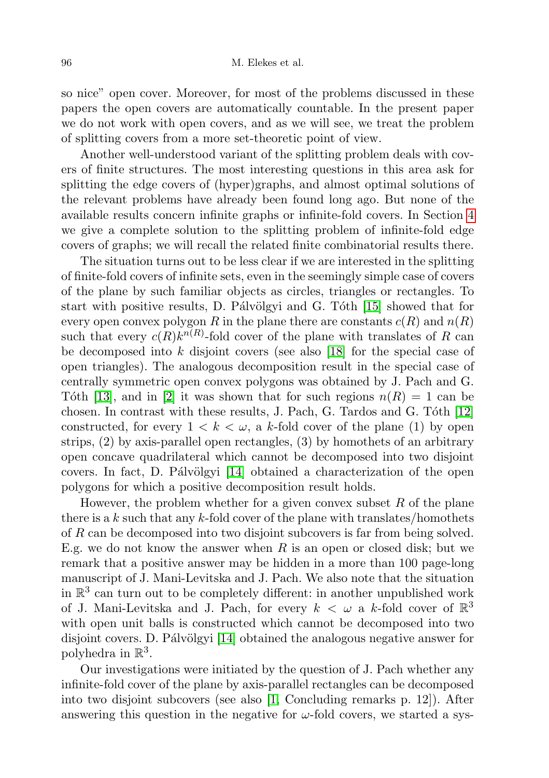so nice" open cover. Moreover, for most of the problems discussed in these papers the open covers are automatically countable. In the present paper we do not work with open covers, and as we will see, we treat the problem of splitting covers from a more set-theoretic point of view.

Another well-understood variant of the splitting problem deals with covers of finite structures. The most interesting questions in this area ask for splitting the edge covers of (hyper)graphs, and almost optimal solutions of the relevant problems have already been found long ago. But none of the available results concern infinite graphs or infinite-fold covers. In Section [4](#page-8-0) we give a complete solution to the splitting problem of infinite-fold edge covers of graphs; we will recall the related finite combinatorial results there.

The situation turns out to be less clear if we are interested in the splitting of finite-fold covers of infinite sets, even in the seemingly simple case of covers of the plane by such familiar objects as circles, triangles or rectangles. To start with positive results, D. Pálvölgyi and G. Tóth  $[15]$  showed that for every open convex polygon R in the plane there are constants  $c(R)$  and  $n(R)$ such that every  $c(R)k^{n(R)}$ -fold cover of the plane with translates of R can be decomposed into  $k$  disjoint covers (see also [\[18\]](#page-32-2) for the special case of open triangles). The analogous decomposition result in the special case of centrally symmetric open convex polygons was obtained by J. Pach and G. Tóth [\[13\]](#page-32-3), and in [\[2\]](#page-31-0) it was shown that for such regions  $n(R) = 1$  can be chosen. In contrast with these results, J. Pach, G. Tardos and G. Tóth  $[12]$ constructed, for every  $1 < k < \omega$ , a k-fold cover of the plane (1) by open strips, (2) by axis-parallel open rectangles, (3) by homothets of an arbitrary open concave quadrilateral which cannot be decomposed into two disjoint covers. In fact, D. Pálvölgyi  $[14]$  obtained a characterization of the open polygons for which a positive decomposition result holds.

However, the problem whether for a given convex subset  $R$  of the plane there is a k such that any k-fold cover of the plane with translates/homothets of R can be decomposed into two disjoint subcovers is far from being solved. E.g. we do not know the answer when R is an open or closed disk; but we remark that a positive answer may be hidden in a more than 100 page-long manuscript of J. Mani-Levitska and J. Pach. We also note that the situation in  $\mathbb{R}^3$  can turn out to be completely different: in another unpublished work of J. Mani-Levitska and J. Pach, for every  $k < \omega$  a k-fold cover of  $\mathbb{R}^3$ with open unit balls is constructed which cannot be decomposed into two disjoint covers. D. Pálvölgyi [\[14\]](#page-32-5) obtained the analogous negative answer for polyhedra in  $\mathbb{R}^3$ .

Our investigations were initiated by the question of J. Pach whether any infinite-fold cover of the plane by axis-parallel rectangles can be decomposed into two disjoint subcovers (see also [\[1,](#page-31-1) Concluding remarks p. 12]). After answering this question in the negative for  $\omega$ -fold covers, we started a sys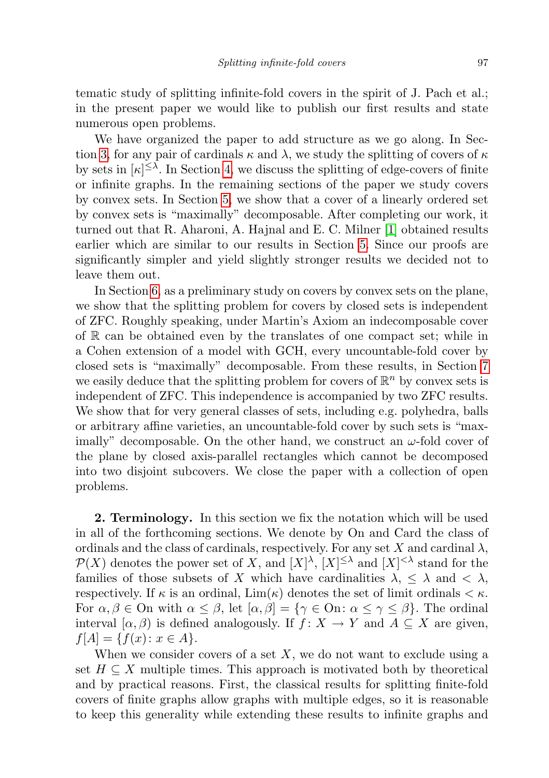tematic study of splitting infinite-fold covers in the spirit of J. Pach et al.; in the present paper we would like to publish our first results and state numerous open problems.

We have organized the paper to add structure as we go along. In Sec-tion [3,](#page-6-0) for any pair of cardinals  $\kappa$  and  $\lambda$ , we study the splitting of covers of  $\kappa$ by sets in  $[\kappa]^{\leq \lambda}$ . In Section [4,](#page-8-0) we discuss the splitting of edge-covers of finite or infinite graphs. In the remaining sections of the paper we study covers by convex sets. In Section [5,](#page-11-0) we show that a cover of a linearly ordered set by convex sets is "maximally" decomposable. After completing our work, it turned out that R. Aharoni, A. Hajnal and E. C. Milner [\[1\]](#page-31-1) obtained results earlier which are similar to our results in Section [5.](#page-11-0) Since our proofs are significantly simpler and yield slightly stronger results we decided not to leave them out.

In Section [6,](#page-17-0) as a preliminary study on covers by convex sets on the plane, we show that the splitting problem for covers by closed sets is independent of ZFC. Roughly speaking, under Martin's Axiom an indecomposable cover of R can be obtained even by the translates of one compact set; while in a Cohen extension of a model with GCH, every uncountable-fold cover by closed sets is "maximally" decomposable. From these results, in Section [7](#page-25-0) we easily deduce that the splitting problem for covers of  $\mathbb{R}^n$  by convex sets is independent of ZFC. This independence is accompanied by two ZFC results. We show that for very general classes of sets, including e.g. polyhedra, balls or arbitrary affine varieties, an uncountable-fold cover by such sets is "maximally" decomposable. On the other hand, we construct an  $\omega$ -fold cover of the plane by closed axis-parallel rectangles which cannot be decomposed into two disjoint subcovers. We close the paper with a collection of open problems.

2. Terminology. In this section we fix the notation which will be used in all of the forthcoming sections. We denote by On and Card the class of ordinals and the class of cardinals, respectively. For any set X and cardinal  $\lambda$ ,  $\mathcal{P}(X)$  denotes the power set of X, and  $[X]^{\lambda}$ ,  $[X]^{\leq \lambda}$  and  $[X]^{\leq \lambda}$  stand for the families of those subsets of X which have cardinalities  $\lambda$ ,  $\leq \lambda$  and  $\lt \lambda$ , respectively. If  $\kappa$  is an ordinal,  $\text{Lim}(\kappa)$  denotes the set of limit ordinals  $\lt \kappa$ . For  $\alpha, \beta \in \mathcal{O}$  with  $\alpha \leq \beta$ , let  $[\alpha, \beta] = {\gamma \in \mathcal{O} \cap \alpha \leq \gamma \leq \beta}$ . The ordinal interval  $[\alpha, \beta)$  is defined analogously. If  $f : X \to Y$  and  $A \subseteq X$  are given,  $f[A] = \{f(x): x \in A\}.$ 

When we consider covers of a set  $X$ , we do not want to exclude using a set  $H \subseteq X$  multiple times. This approach is motivated both by theoretical and by practical reasons. First, the classical results for splitting finite-fold covers of finite graphs allow graphs with multiple edges, so it is reasonable to keep this generality while extending these results to infinite graphs and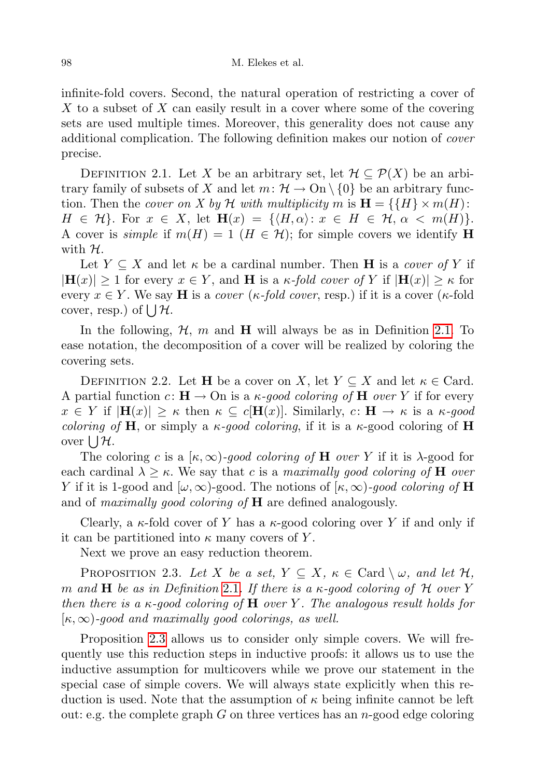infinite-fold covers. Second, the natural operation of restricting a cover of X to a subset of X can easily result in a cover where some of the covering sets are used multiple times. Moreover, this generality does not cause any additional complication. The following definition makes our notion of cover precise.

<span id="page-3-0"></span>DEFINITION 2.1. Let X be an arbitrary set, let  $\mathcal{H} \subseteq \mathcal{P}(X)$  be an arbitrary family of subsets of X and let  $m: \mathcal{H} \to \text{On} \setminus \{0\}$  be an arbitrary function. Then the *cover on* X by H with multiplicity m is  $\mathbf{H} = \{ \{H\} \times m(H) :$  $H \in \mathcal{H}$ . For  $x \in X$ , let  $\mathbf{H}(x) = \{ \langle H, \alpha \rangle : x \in H \in \mathcal{H}, \alpha < m(H) \}.$ A cover is *simple* if  $m(H) = 1$  ( $H \in \mathcal{H}$ ); for simple covers we identify **H** with  $H$ .

Let  $Y \subseteq X$  and let  $\kappa$  be a cardinal number. Then **H** is a *cover of* Y if  $|\mathbf{H}(x)| \geq 1$  for every  $x \in Y$ , and **H** is a  $\kappa$ -fold cover of Y if  $|\mathbf{H}(x)| \geq \kappa$  for every  $x \in Y$ . We say **H** is a *cover* ( $\kappa$ -fold *cover*, resp.) if it is a cover ( $\kappa$ -fold cover, resp.) of  $\bigcup \mathcal{H}$ .

In the following,  $\mathcal{H}$ , m and **H** will always be as in Definition [2.1.](#page-3-0) To ease notation, the decomposition of a cover will be realized by coloring the covering sets.

DEFINITION 2.2. Let **H** be a cover on X, let  $Y \subseteq X$  and let  $\kappa \in \text{Card}$ . A partial function c:  $H \to On$  is a  $\kappa$ -good coloring of H over Y if for every  $x \in Y$  if  $|\mathbf{H}(x)| \geq \kappa$  then  $\kappa \subseteq c[\mathbf{H}(x)]$ . Similarly,  $c: \mathbf{H} \to \kappa$  is a  $\kappa$ -good *coloring of* H, or simply a  $\kappa$ -good coloring, if it is a  $\kappa$ -good coloring of H over  $\bigcup \mathcal{H}$ .

The coloring c is a  $\kappa, \infty$ -good coloring of **H** over Y if it is  $\lambda$ -good for each cardinal  $\lambda \geq \kappa$ . We say that c is a maximally good coloring of **H** over Y if it is 1-good and  $[\omega, \infty)$ -good. The notions of  $[\kappa, \infty)$ -good coloring of **H** and of *maximally good coloring of*  $H$  are defined analogously.

Clearly, a  $\kappa$ -fold cover of Y has a  $\kappa$ -good coloring over Y if and only if it can be partitioned into  $\kappa$  many covers of Y.

Next we prove an easy reduction theorem.

<span id="page-3-1"></span>PROPOSITION 2.3. Let X be a set,  $Y \subseteq X$ ,  $\kappa \in \text{Card } \setminus \omega$ , and let  $\mathcal{H}$ , m and H be as in Definition [2](#page-3-0).1. If there is a  $\kappa$ -good coloring of H over Y then there is a  $\kappa$ -good coloring of  $H$  over Y. The analogous result holds for  $[\kappa, \infty)$ -good and maximally good colorings, as well.

Proposition [2.3](#page-3-1) allows us to consider only simple covers. We will frequently use this reduction steps in inductive proofs: it allows us to use the inductive assumption for multicovers while we prove our statement in the special case of simple covers. We will always state explicitly when this reduction is used. Note that the assumption of  $\kappa$  being infinite cannot be left out: e.g. the complete graph  $G$  on three vertices has an *n*-good edge coloring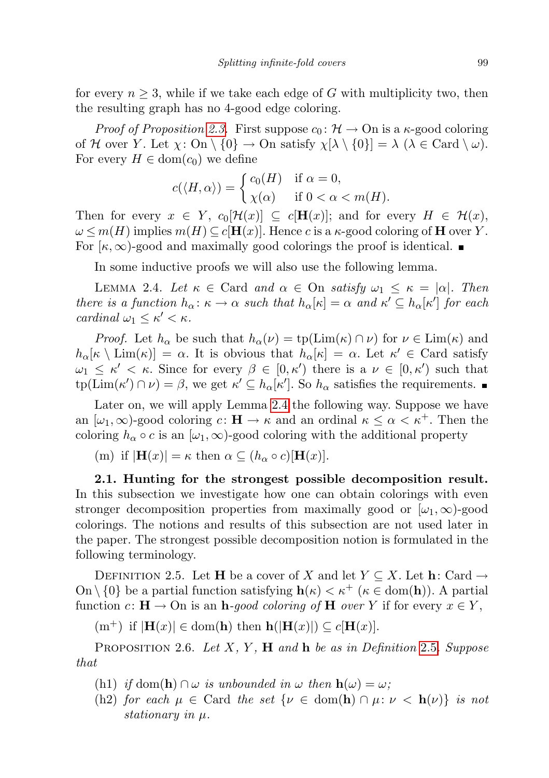for every  $n \geq 3$ , while if we take each edge of G with multiplicity two, then the resulting graph has no 4-good edge coloring.

*Proof of Proposition [2.3.](#page-3-1)* First suppose  $c_0: \mathcal{H} \to \Omega$  is a  $\kappa$ -good coloring of H over Y. Let  $\chi: \text{On} \setminus \{0\} \to \text{On satisfy } \chi[\lambda \setminus \{0\}] = \lambda \ (\lambda \in \text{Card } \setminus \omega).$ For every  $H \in \text{dom}(c_0)$  we define

$$
c(\langle H, \alpha \rangle) = \begin{cases} c_0(H) & \text{if } \alpha = 0, \\ \chi(\alpha) & \text{if } 0 < \alpha < m(H). \end{cases}
$$

Then for every  $x \in Y$ ,  $c_0[\mathcal{H}(x)] \subseteq c[\mathbf{H}(x)]$ ; and for every  $H \in \mathcal{H}(x)$ ,  $\omega \leq m(H)$  implies  $m(H) \subseteq c[H(x)]$ . Hence c is a  $\kappa$ -good coloring of **H** over Y. For  $[\kappa, \infty)$ -good and maximally good colorings the proof is identical.

In some inductive proofs we will also use the following lemma.

<span id="page-4-0"></span>LEMMA 2.4. Let  $\kappa \in \text{Card}$  and  $\alpha \in \text{On}$  satisfy  $\omega_1 \leq \kappa = |\alpha|$ . Then there is a function  $h_{\alpha} \colon \kappa \to \alpha$  such that  $h_{\alpha}[\kappa] = \alpha$  and  $\kappa' \subseteq h_{\alpha}[\kappa']$  for each cardinal  $\omega_1 \leq \kappa' < \kappa$ .

*Proof.* Let  $h_{\alpha}$  be such that  $h_{\alpha}(\nu) = \text{tp}(\text{Lim}(\kappa) \cap \nu)$  for  $\nu \in \text{Lim}(\kappa)$  and  $h_{\alpha}[\kappa \setminus \text{Lim}(\kappa)] = \alpha$ . It is obvious that  $h_{\alpha}[\kappa] = \alpha$ . Let  $\kappa' \in \text{Card}$  satisfy  $\omega_1 \leq \kappa' < \kappa$ . Since for every  $\beta \in [0, \kappa')$  there is a  $\nu \in [0, \kappa')$  such that  $\text{tp}(\text{Lim}(\kappa') \cap \nu) = \beta$ , we get  $\kappa' \subseteq h_\alpha[\kappa']$ . So  $h_\alpha$  satisfies the requirements.

Later on, we will apply Lemma [2.4](#page-4-0) the following way. Suppose we have an  $[\omega_1, \infty)$ -good coloring  $c: \mathbf{H} \to \kappa$  and an ordinal  $\kappa \leq \alpha < \kappa^+$ . Then the coloring  $h_{\alpha} \circ c$  is an  $[\omega_1, \infty)$ -good coloring with the additional property

(m) if  $|\mathbf{H}(x)| = \kappa$  then  $\alpha \subseteq (h_{\alpha} \circ c)[\mathbf{H}(x)].$ 

2.1. Hunting for the strongest possible decomposition result. In this subsection we investigate how one can obtain colorings with even stronger decomposition properties from maximally good or  $[\omega_1, \infty)$ -good colorings. The notions and results of this subsection are not used later in the paper. The strongest possible decomposition notion is formulated in the following terminology.

<span id="page-4-1"></span>DEFINITION 2.5. Let **H** be a cover of X and let  $Y \subseteq X$ . Let **h**: Card  $\rightarrow$ On \ {0} be a partial function satisfying  $h(\kappa) < \kappa^+$  ( $\kappa \in dom(h)$ ). A partial function  $c: \mathbf{H} \to \text{On}$  is an h-good coloring of  $\mathbf{H}$  over Y if for every  $x \in Y$ ,

 $(m^+)$  if  $|\mathbf{H}(x)| \in \text{dom}(\mathbf{h})$  then  $\mathbf{h}(|\mathbf{H}(x)|) \subseteq c[\mathbf{H}(x)].$ 

<span id="page-4-2"></span>PROPOSITION [2](#page-4-1).6. Let  $X, Y$ ,  $H$  and  $h$  be as in Definition 2.5. Suppose that

- <span id="page-4-3"></span>(h1) if dom(h)  $\cap \omega$  is unbounded in  $\omega$  then  $h(\omega) = \omega$ ;
- <span id="page-4-4"></span>(h2) for each  $\mu \in \text{Card } the set \{ \nu \in \text{dom}(\mathbf{h}) \cap \mu : \nu < \mathbf{h}(\nu) \}$  is not stationary in  $\mu$ .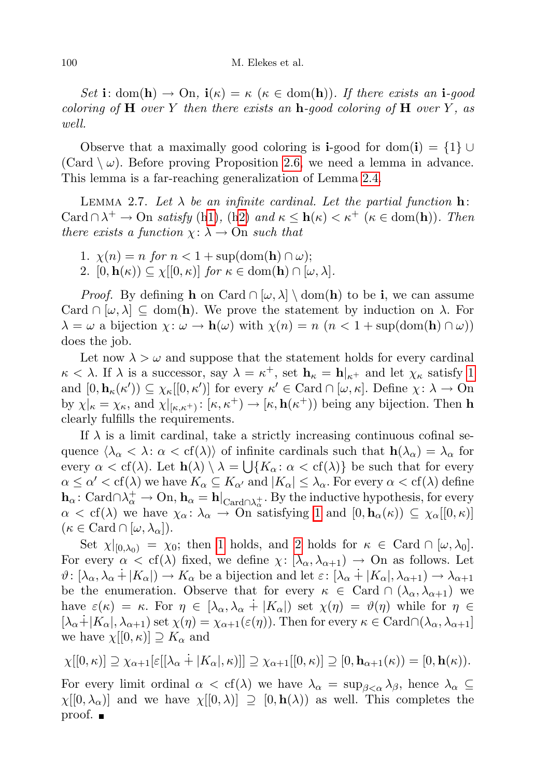Set i: dom(h)  $\rightarrow$  On, i(k) =  $\kappa$  ( $\kappa \in$  dom(h)). If there exists an i-good coloring of  $\bf{H}$  over Y then there exists an  $\bf{h}$ -good coloring of  $\bf{H}$  over Y, as well.

Observe that a maximally good coloring is **i**-good for dom(**i**) =  $\{1\}$  ∪ (Card  $\setminus \omega$ ). Before proving Proposition [2.6,](#page-4-2) we need a lemma in advance. This lemma is a far-reaching generalization of Lemma [2.4.](#page-4-0)

<span id="page-5-2"></span>LEMMA 2.7. Let  $\lambda$  be an infinite cardinal. Let the partial function **h**: Card  $\cap \lambda^+ \to \text{On satisfy (h1), (h2) and } \kappa \leq \mathbf{h}(\kappa) < \kappa^+ \ (\kappa \in \text{dom}(\mathbf{h}))$  $\cap \lambda^+ \to \text{On satisfy (h1), (h2) and } \kappa \leq \mathbf{h}(\kappa) < \kappa^+ \ (\kappa \in \text{dom}(\mathbf{h}))$  $\cap \lambda^+ \to \text{On satisfy (h1), (h2) and } \kappa \leq \mathbf{h}(\kappa) < \kappa^+ \ (\kappa \in \text{dom}(\mathbf{h}))$  $\cap \lambda^+ \to \text{On satisfy (h1), (h2) and } \kappa \leq \mathbf{h}(\kappa) < \kappa^+ \ (\kappa \in \text{dom}(\mathbf{h}))$  $\cap \lambda^+ \to \text{On satisfy (h1), (h2) and } \kappa \leq \mathbf{h}(\kappa) < \kappa^+ \ (\kappa \in \text{dom}(\mathbf{h}))$ . Then there exists a function  $\chi: \lambda \to \Omega$  such that

- <span id="page-5-0"></span>1.  $\chi(n) = n$  for  $n < 1 + \sup(\text{dom}(\mathbf{h}) \cap \omega);$
- <span id="page-5-1"></span>2.  $[0, \mathbf{h}(\kappa)) \subseteq \chi[[0, \kappa)]$  for  $\kappa \in \text{dom}(\mathbf{h}) \cap [\omega, \lambda]$ .

*Proof.* By defining **h** on Card  $\cap$   $[\omega, \lambda] \setminus \text{dom}(\mathbf{h})$  to be **i**, we can assume Card  $\cap$   $[\omega, \lambda] \subseteq$  dom(h). We prove the statement by induction on  $\lambda$ . For  $\lambda = \omega$  a bijection  $\chi: \omega \to \mathbf{h}(\omega)$  with  $\chi(n) = n \ (n < 1 + \sup(\text{dom}(\mathbf{h}) \cap \omega))$ does the job.

Let now  $\lambda > \omega$  and suppose that the statement holds for every cardinal  $\kappa < \lambda$ . If  $\lambda$  is a successor, say  $\lambda = \kappa^+$ , set  $\mathbf{h}_{\kappa} = \mathbf{h}|_{\kappa^+}$  and let  $\chi_{\kappa}$  satisfy [1](#page-5-0) and  $[0, \mathbf{h}_{\kappa}(\kappa') \subseteq \chi_{\kappa}[[0, \kappa')]$  for every  $\kappa' \in \text{Card } \cap [\omega, \kappa]$ . Define  $\chi: \lambda \to \text{On}$ by  $\chi|_{\kappa} = \chi_{\kappa}$ , and  $\chi|_{[\kappa,\kappa^+]} : [\kappa,\kappa^+) \to [\kappa,\mathbf{h}(\kappa^+))$  being any bijection. Then **h** clearly fulfills the requirements.

If  $\lambda$  is a limit cardinal, take a strictly increasing continuous cofinal sequence  $\langle \lambda_\alpha < \lambda : \alpha < \text{cf}(\lambda) \rangle$  of infinite cardinals such that  $h(\lambda_\alpha) = \lambda_\alpha$  for every  $\alpha < \text{cf}(\lambda)$ . Let  $\mathbf{h}(\lambda) \setminus \lambda = \bigcup \{K_\alpha : \alpha < \text{cf}(\lambda)\}\$ be such that for every  $\alpha \leq \alpha' < \text{cf}(\lambda)$  we have  $K_{\alpha} \subseteq K_{\alpha'}$  and  $|K_{\alpha}| \leq \lambda_{\alpha}$ . For every  $\alpha < \text{cf}(\lambda)$  define  $\mathbf{h}_{\alpha}$ : Card∩ $\lambda_{\alpha}^{+} \to$ On,  $\mathbf{h}_{\alpha} = \mathbf{h}|_{\text{Card}\cap\lambda_{\alpha}^{+}}$ . By the inductive hypothesis, for every  $\alpha < \text{cf}(\lambda)$  we have  $\chi_{\alpha} : \lambda_{\alpha} \to \text{On}$  satisfying [1](#page-5-0) and  $[0, \mathbf{h}_{\alpha}(\kappa)) \subseteq \chi_{\alpha}[[0, \kappa)]$  $(\kappa \in \text{Card} \cap [\omega, \lambda_{\alpha}]).$ 

Set  $\chi|_{[0,\lambda_0)} = \chi_0$ ; then [1](#page-5-0) holds, and [2](#page-5-1) holds for  $\kappa \in \text{Card } \cap [\omega, \lambda_0]$ . For every  $\alpha < \text{cf}(\lambda)$  fixed, we define  $\chi: [\lambda_{\alpha}, \lambda_{\alpha+1}) \to \text{On}$  as follows. Let  $\vartheta: [\lambda_{\alpha}, \lambda_{\alpha} + |K_{\alpha}|] \to K_{\alpha}$  be a bijection and let  $\varepsilon: [\lambda_{\alpha} + |K_{\alpha}|, \lambda_{\alpha+1}) \to \lambda_{\alpha+1}$ be the enumeration. Observe that for every  $\kappa \in \text{Card } \cap (\lambda_{\alpha}, \lambda_{\alpha+1})$  we have  $\varepsilon(\kappa) = \kappa$ . For  $\eta \in [\lambda_{\alpha}, \lambda_{\alpha} + |K_{\alpha}|)$  set  $\chi(\eta) = \vartheta(\eta)$  while for  $\eta \in$  $[\lambda_{\alpha} + |K_{\alpha}|, \lambda_{\alpha+1})$  set  $\chi(\eta) = \chi_{\alpha+1}(\varepsilon(\eta))$ . Then for every  $\kappa \in \text{Card} \cap (\lambda_{\alpha}, \lambda_{\alpha+1})$ we have  $\chi[[0,\kappa)] \supseteq K_{\alpha}$  and

$$
\chi[[0,\kappa)] \supseteq \chi_{\alpha+1}[\varepsilon[[\lambda_{\alpha} + |K_{\alpha}|,\kappa)]] \supseteq \chi_{\alpha+1}[[0,\kappa)] \supseteq [0,\mathbf{h}_{\alpha+1}(\kappa)) = [0,\mathbf{h}(\kappa)).
$$

For every limit ordinal  $\alpha < \text{cf}(\lambda)$  we have  $\lambda_{\alpha} = \sup_{\beta < \alpha} \lambda_{\beta}$ , hence  $\lambda_{\alpha} \subseteq$  $\chi[[0,\lambda_\alpha)]$  and we have  $\chi[[0,\lambda)] \supseteq [0,\mathbf{h}(\lambda))$  as well. This completes the proof. ■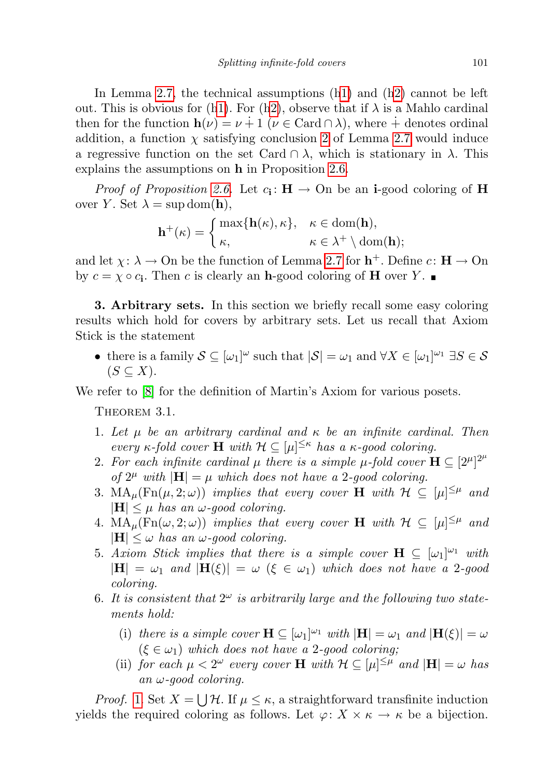In Lemma [2.7,](#page-5-2) the technical assumptions ([h1\)](#page-4-3) and ([h2\)](#page-4-4) cannot be left out. This is obvious for ([h1\)](#page-4-3). For ([h2\)](#page-4-4), observe that if  $\lambda$  is a Mahlo cardinal then for the function  $h(\nu) = \nu + 1$  ( $\nu \in \text{Card} \cap \lambda$ ), where + denotes ordinal addition, a function  $\chi$  satisfying conclusion [2](#page-5-1) of Lemma [2.7](#page-5-2) would induce a regressive function on the set Card  $\cap \lambda$ , which is stationary in  $\lambda$ . This explains the assumptions on h in Proposition [2.6.](#page-4-2)

*Proof of Proposition [2.6.](#page-4-2)* Let  $c_i: \mathbf{H} \to \mathbf{On}$  be an **i**-good coloring of **H** over Y. Set  $\lambda = \sup \text{dom}(\mathbf{h}),$ 

$$
\mathbf{h}^+(\kappa) = \begin{cases} \max\{\mathbf{h}(\kappa), \kappa\}, & \kappa \in \text{dom}(\mathbf{h}), \\ \kappa, & \kappa \in \lambda^+ \setminus \text{dom}(\mathbf{h}); \end{cases}
$$

and let  $\chi: \lambda \to \Omega$  be the function of Lemma [2.7](#page-5-2) for  $h^+$ . Define  $c: H \to \Omega$ by  $c = \chi \circ c_i$ . Then c is clearly an **h**-good coloring of **H** over Y.

<span id="page-6-0"></span>3. Arbitrary sets. In this section we briefly recall some easy coloring results which hold for covers by arbitrary sets. Let us recall that Axiom Stick is the statement

• there is a family  $S \subseteq [\omega_1]^\omega$  such that  $|S| = \omega_1$  and  $\forall X \in [\omega_1]^{|\omega_1|} \exists S \in S$  $(S \subseteq X)$ .

<span id="page-6-7"></span>We refer to [\[8\]](#page-32-6) for the definition of Martin's Axiom for various posets.

THEOREM 3.1.

- <span id="page-6-1"></span>1. Let  $\mu$  be an arbitrary cardinal and  $\kappa$  be an infinite cardinal. Then every  $\kappa$ -fold cover **H** with  $\mathcal{H} \subseteq [\mu]^{\leq \kappa}$  has a  $\kappa$ -good coloring.
- <span id="page-6-2"></span>2. For each infinite cardinal  $\mu$  there is a simple  $\mu$ -fold cover  $\mathbf{H} \subseteq [2^{\mu}]^{2^{\mu}}$ of  $2^{\mu}$  with  $|\mathbf{H}| = \mu$  which does not have a 2-good coloring.
- <span id="page-6-3"></span>3. M $A_\mu(\text{Fn}(\mu, 2; \omega))$  implies that every cover H with  $\mathcal{H} \subseteq [\mu]^{\leq \mu}$  and  $|\mathbf{H}| \leq \mu$  has an  $\omega$ -good coloring.
- <span id="page-6-4"></span>4.  $\mathrm{MA}_{\mu}(\mathrm{Fn}(\omega, 2; \omega))$  implies that every cover  $\mathbf{H}$  with  $\mathcal{H} \subseteq [\mu]^{\leq \mu}$  and  $|\mathbf{H}| \leq \omega$  has an  $\omega$ -good coloring.
- <span id="page-6-5"></span>5. Axiom Stick implies that there is a simple cover  $\mathbf{H} \subseteq [\omega_1]^{\omega_1}$  with  $|H| = \omega_1$  and  $|H(\xi)| = \omega$  ( $\xi \in \omega_1$ ) which does not have a 2-good coloring.
- <span id="page-6-6"></span>6. It is consistent that  $2^{\omega}$  is arbitrarily large and the following two statements hold:
	- (i) there is a simple cover  $\mathbf{H} \subseteq [\omega_1]^{\omega_1}$  with  $|\mathbf{H}| = \omega_1$  and  $|\mathbf{H}(\xi)| = \omega_1$  $(\xi \in \omega_1)$  which does not have a 2-good coloring;
	- (ii) for each  $\mu < 2^{\omega}$  every cover **H** with  $\mathcal{H} \subseteq [\mu]^{\leq \mu}$  and  $|\mathbf{H}| = \omega$  has an  $\omega$ -good coloring.

*Proof.* [1.](#page-6-1) Set  $X = \bigcup \mathcal{H}$ . If  $\mu \leq \kappa$ , a straightforward transfinite induction yields the required coloring as follows. Let  $\varphi: X \times \kappa \to \kappa$  be a bijection.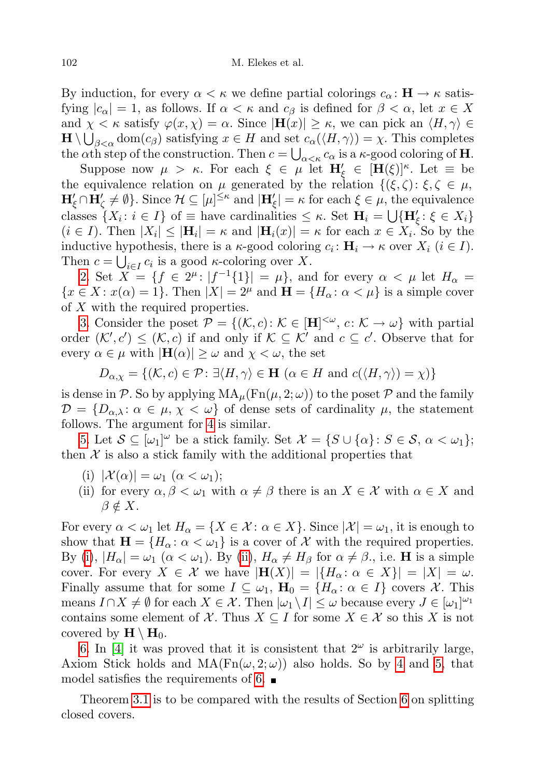By induction, for every  $\alpha < \kappa$  we define partial colorings  $c_{\alpha} : \mathbf{H} \to \kappa$  satisfying  $|c_{\alpha}| = 1$ , as follows. If  $\alpha < \kappa$  and  $c_{\beta}$  is defined for  $\beta < \alpha$ , let  $x \in X$ and  $\chi < \kappa$  satisfy  $\varphi(x, \chi) = \alpha$ . Since  $|\mathbf{H}(x)| \geq \kappa$ , we can pick an  $\langle H, \gamma \rangle \in$  $\mathbf{H} \setminus \bigcup_{\beta < \alpha} \text{dom}(c_{\beta})$  satisfying  $x \in H$  and set  $c_{\alpha}(\langle H, \gamma \rangle) = \chi$ . This completes the  $\alpha$ th step of the construction. Then  $c = \bigcup_{\alpha < \kappa} c_{\alpha}$  is a  $\kappa$ -good coloring of **H**.

Suppose now  $\mu > \kappa$ . For each  $\xi \in \mu$  let  $H'_{\xi} \in [H(\xi)]^{\kappa}$ . Let  $\equiv$  be the equivalence relation on  $\mu$  generated by the relation  $\{(\xi,\zeta): \xi,\zeta \in \mu,$  $\mathbf{H}'_{\zeta} \cap \mathbf{H}'_{\zeta} \neq \emptyset$ . Since  $\mathcal{H} \subseteq [\mu]^{\leq \kappa}$  and  $|\mathbf{H}'_{\zeta}| = \kappa$  for each  $\xi \in \mu$ , the equivalence classes  $\{X_i : i \in I\}$  of  $\equiv$  have cardinalities  $\leq \kappa$ . Set  $\mathbf{H}_i = \bigcup \{\mathbf{H}'_{\xi} : \xi \in X_i\}$  $(i \in I)$ . Then  $|X_i| \leq |\mathbf{H}_i| = \kappa$  and  $|\mathbf{H}_i(x)| = \kappa$  for each  $x \in X_i$ . So by the inductive hypothesis, there is a  $\kappa$ -good coloring  $c_i: \mathbf{H}_i \to \kappa$  over  $X_i$   $(i \in I)$ . Then  $c = \bigcup_{i \in I} c_i$  is a good  $\kappa$ -coloring over X.

[2.](#page-6-2) Set  $X = \{f \in 2^{\mu}: |f^{-1}{1}| = \mu\}$ , and for every  $\alpha < \mu$  let  $H_{\alpha} =$  ${x \in X : x(\alpha) = 1}$ . Then  $|X| = 2^{\mu}$  and  $\mathbf{H} = {H_{\alpha} : \alpha < \mu}$  is a simple cover of  $X$  with the required properties.

[3.](#page-6-3) Consider the poset  $\mathcal{P} = \{(\mathcal{K}, c) : \mathcal{K} \in [\mathbf{H}]^{<\omega}, c : \mathcal{K} \to \omega\}$  with partial order  $(\mathcal{K}', c') \leq (\mathcal{K}, c)$  if and only if  $\mathcal{K} \subseteq \mathcal{K}'$  and  $c \subseteq c'$ . Observe that for every  $\alpha \in \mu$  with  $|\mathbf{H}(\alpha)| \geq \omega$  and  $\chi < \omega$ , the set

$$
D_{\alpha,\chi} = \{ (\mathcal{K}, c) \in \mathcal{P} \colon \exists \langle H, \gamma \rangle \in \mathbf{H} \ (\alpha \in H \text{ and } c(\langle H, \gamma \rangle) = \chi) \}
$$

is dense in P. So by applying  $MA_{\mu}(Fn(\mu, 2; \omega))$  to the poset P and the family  $\mathcal{D} = \{D_{\alpha,\lambda} : \alpha \in \mu, \chi < \omega\}$  of dense sets of cardinality  $\mu$ , the statement follows. The argument for [4](#page-6-4) is similar.

[5.](#page-6-5) Let  $S \subseteq [\omega_1]^{\omega}$  be a stick family. Set  $\mathcal{X} = \{S \cup \{\alpha\} : S \in \mathcal{S}, \alpha < \omega_1\};\$ then  $\mathcal X$  is also a stick family with the additional properties that

- <span id="page-7-0"></span>(i)  $|\mathcal{X}(\alpha)| = \omega_1 \ (\alpha < \omega_1);$
- <span id="page-7-1"></span>(ii) for every  $\alpha, \beta < \omega_1$  with  $\alpha \neq \beta$  there is an  $X \in \mathcal{X}$  with  $\alpha \in X$  and  $\beta \notin X$ .

For every  $\alpha < \omega_1$  let  $H_\alpha = \{X \in \mathcal{X} : \alpha \in X\}$ . Since  $|\mathcal{X}| = \omega_1$ , it is enough to show that  $\mathbf{H} = \{H_{\alpha} : \alpha < \omega_1\}$  is a cover of X with the required properties. By [\(i\)](#page-7-0),  $|H_{\alpha}| = \omega_1 \ (\alpha < \omega_1)$ . By [\(ii\)](#page-7-1),  $H_{\alpha} \neq H_{\beta}$  for  $\alpha \neq \beta$ ., i.e. **H** is a simple cover. For every  $X \in \mathcal{X}$  we have  $|\mathbf{H}(X)| = |\{H_{\alpha} : \alpha \in X\}| = |X| = \omega$ . Finally assume that for some  $I \subseteq \omega_1$ ,  $\mathbf{H}_0 = \{H_\alpha : \alpha \in I\}$  covers X. This means  $I \cap X \neq \emptyset$  for each  $X \in \mathcal{X}$ . Then  $|\omega_1 \setminus I| \leq \omega$  because every  $J \in [\omega_1]^{\omega_1}$ contains some element of X. Thus  $X \subseteq I$  for some  $X \in \mathcal{X}$  so this X is not covered by  $\mathbf{H} \setminus \mathbf{H}_0$ .

[6.](#page-6-6) In [\[4\]](#page-31-2) it was proved that it is consistent that  $2^{\omega}$  is arbitrarily large, Axiom Stick holds and  $MA(Fn(\omega, 2; \omega))$  also holds. So by [4](#page-6-4) and [5,](#page-6-5) that model satisfies the requirements of [6.](#page-6-6)  $\blacksquare$ 

Theorem [3.1](#page-6-7) is to be compared with the results of Section [6](#page-17-0) on splitting closed covers.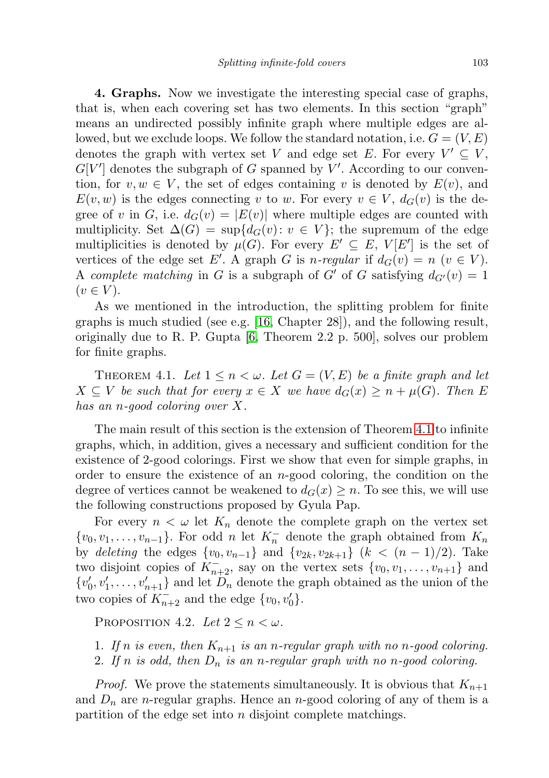<span id="page-8-0"></span>4. Graphs. Now we investigate the interesting special case of graphs, that is, when each covering set has two elements. In this section "graph" means an undirected possibly infinite graph where multiple edges are allowed, but we exclude loops. We follow the standard notation, i.e.  $G = (V, E)$ denotes the graph with vertex set V and edge set E. For every  $V' \subseteq V$ ,  $G[V']$  denotes the subgraph of G spanned by V'. According to our convention, for  $v, w \in V$ , the set of edges containing v is denoted by  $E(v)$ , and  $E(v, w)$  is the edges connecting v to w. For every  $v \in V$ ,  $d_G(v)$  is the degree of v in G, i.e.  $d_G(v) = |E(v)|$  where multiple edges are counted with multiplicity. Set  $\Delta(G) = \sup\{d_G(v): v \in V\}$ ; the supremum of the edge multiplicities is denoted by  $\mu(G)$ . For every  $E' \subseteq E$ ,  $V[E']$  is the set of vertices of the edge set E'. A graph G is n-regular if  $d_G(v) = n$   $(v \in V)$ . A complete matching in G is a subgraph of G' of G satisfying  $d_{G}(v) = 1$  $(v \in V)$ .

As we mentioned in the introduction, the splitting problem for finite graphs is much studied (see e.g. [\[16,](#page-32-7) Chapter 28]), and the following result, originally due to R. P. Gupta [\[6,](#page-32-8) Theorem 2.2 p. 500], solves our problem for finite graphs.

<span id="page-8-1"></span>THEOREM 4.1. Let  $1 \leq n \leq \omega$ . Let  $G = (V, E)$  be a finite graph and let  $X \subseteq V$  be such that for every  $x \in X$  we have  $d_G(x) \geq n + \mu(G)$ . Then E has an n-good coloring over X.

The main result of this section is the extension of Theorem [4.1](#page-8-1) to infinite graphs, which, in addition, gives a necessary and sufficient condition for the existence of 2-good colorings. First we show that even for simple graphs, in order to ensure the existence of an  $n$ -good coloring, the condition on the degree of vertices cannot be weakened to  $d_G(x) \geq n$ . To see this, we will use the following constructions proposed by Gyula Pap.

For every  $n < \omega$  let  $K_n$  denote the complete graph on the vertex set  $\{v_0, v_1, \ldots, v_{n-1}\}$ . For odd n let  $K_n^-$  denote the graph obtained from  $K_n$ by deleting the edges  $\{v_0, v_{n-1}\}\$ and  $\{v_{2k}, v_{2k+1}\}\$  ( $k < (n-1)/2$ ). Take two disjoint copies of  $K_{n+2}^-$ , say on the vertex sets  $\{v_0, v_1, \ldots, v_{n+1}\}$  and  $\{v'_0, v'_1, \ldots, v'_{n+1}\}\$ and let  $D_n$  denote the graph obtained as the union of the two copies of  $K_{n+2}^-$  and the edge  $\{v_0, v'_0\}$ .

PROPOSITION 4.2. Let  $2 \leq n \leq \omega$ .

2. If n is odd, then  $D_n$  is an n-regular graph with no n-good coloring.

*Proof.* We prove the statements simultaneously. It is obvious that  $K_{n+1}$ and  $D_n$  are *n*-regular graphs. Hence an *n*-good coloring of any of them is a partition of the edge set into n disjoint complete matchings.

<sup>1.</sup> If n is even, then  $K_{n+1}$  is an n-regular graph with no n-good coloring.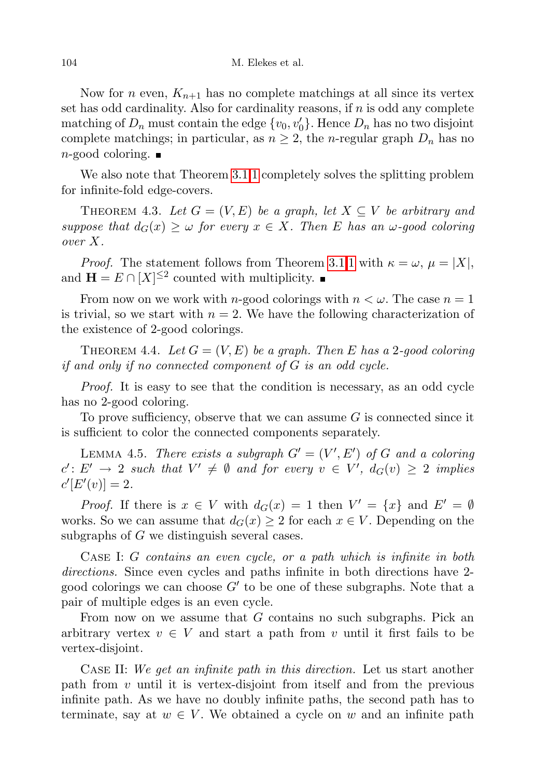Now for *n* even,  $K_{n+1}$  has no complete matchings at all since its vertex set has odd cardinality. Also for cardinality reasons, if  $n$  is odd any complete matching of  $D_n$  must contain the edge  $\{v_0, v'_0\}$ . Hence  $D_n$  has no two disjoint complete matchings; in particular, as  $n \geq 2$ , the *n*-regular graph  $D_n$  has no  $n$ -good coloring.

We also note that Theorem [3.1](#page-6-7)[.1](#page-6-1) completely solves the splitting problem for infinite-fold edge-covers.

<span id="page-9-2"></span>THEOREM 4.3. Let  $G = (V, E)$  be a graph, let  $X \subseteq V$  be arbitrary and suppose that  $d_G(x) \geq \omega$  for every  $x \in X$ . Then E has an  $\omega$ -good coloring over X.

*Proof.* The statement follows from Theorem [3.1](#page-6-7)[.1](#page-6-1) with  $\kappa = \omega, \mu = |X|$ , and  $\mathbf{H} = E \cap [X]^{\leq 2}$  counted with multiplicity.

From now on we work with *n*-good colorings with  $n < \omega$ . The case  $n = 1$ is trivial, so we start with  $n = 2$ . We have the following characterization of the existence of 2-good colorings.

<span id="page-9-0"></span>THEOREM 4.4. Let  $G = (V, E)$  be a graph. Then E has a 2-good coloring if and only if no connected component of G is an odd cycle.

Proof. It is easy to see that the condition is necessary, as an odd cycle has no 2-good coloring.

To prove sufficiency, observe that we can assume  $G$  is connected since it is sufficient to color the connected components separately.

<span id="page-9-1"></span>LEMMA 4.5. There exists a subgraph  $G' = (V', E')$  of G and a coloring  $c' : E' \to 2$  such that  $V' \neq \emptyset$  and for every  $v \in V'$ ,  $d_G(v) \geq 2$  implies  $c'[E'(v)] = 2.$ 

*Proof.* If there is  $x \in V$  with  $d_G(x) = 1$  then  $V' = \{x\}$  and  $E' = \emptyset$ works. So we can assume that  $d_G(x) \geq 2$  for each  $x \in V$ . Depending on the subgraphs of G we distinguish several cases.

Case I: G contains an even cycle, or a path which is infinite in both directions. Since even cycles and paths infinite in both directions have 2 good colorings we can choose  $G'$  to be one of these subgraphs. Note that a pair of multiple edges is an even cycle.

From now on we assume that  $G$  contains no such subgraphs. Pick an arbitrary vertex  $v \in V$  and start a path from v until it first fails to be vertex-disjoint.

Case II: We get an infinite path in this direction. Let us start another path from  $v$  until it is vertex-disjoint from itself and from the previous infinite path. As we have no doubly infinite paths, the second path has to terminate, say at  $w \in V$ . We obtained a cycle on w and an infinite path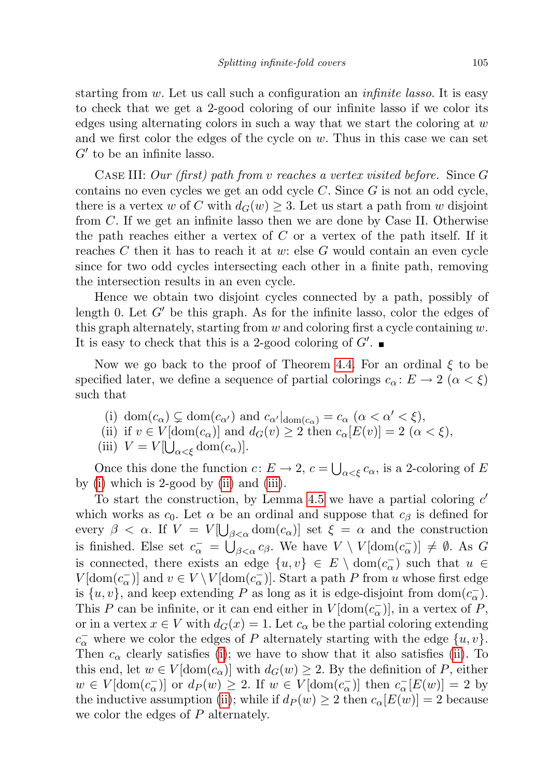starting from  $w$ . Let us call such a configuration an *infinite lasso*. It is easy to check that we get a 2-good coloring of our infinite lasso if we color its edges using alternating colors in such a way that we start the coloring at  $w$ and we first color the edges of the cycle on  $w$ . Thus in this case we can set  $G'$  to be an infinite lasso.

Case III: Our (first) path from v reaches a vertex visited before. Since G contains no even cycles we get an odd cycle  $C$ . Since  $G$  is not an odd cycle, there is a vertex w of C with  $d_G(w) \geq 3$ . Let us start a path from w disjoint from C. If we get an infinite lasso then we are done by Case II. Otherwise the path reaches either a vertex of  $C$  or a vertex of the path itself. If it reaches C then it has to reach it at w: else G would contain an even cycle since for two odd cycles intersecting each other in a finite path, removing the intersection results in an even cycle.

Hence we obtain two disjoint cycles connected by a path, possibly of length 0. Let  $G'$  be this graph. As for the infinite lasso, color the edges of this graph alternately, starting from  $w$  and coloring first a cycle containing  $w$ . It is easy to check that this is a 2-good coloring of  $G'$ .

Now we go back to the proof of Theorem [4.4.](#page-9-0) For an ordinal  $\xi$  to be specified later, we define a sequence of partial colorings  $c_{\alpha} : E \to 2 \ (\alpha < \xi)$ such that

- <span id="page-10-0"></span>(i) dom $(c_{\alpha}) \subsetneq$  dom $(c_{\alpha})$  and  $c_{\alpha'}|_{dom(c_{\alpha})} = c_{\alpha}$   $(\alpha < \alpha' < \xi)$ ,
- <span id="page-10-1"></span>(ii) if  $v \in V[\text{dom}(c_{\alpha})]$  and  $d_G(v) \geq 2$  then  $c_{\alpha}[E(v)] = 2 \ (\alpha < \xi),$
- <span id="page-10-2"></span>(iii)  $V = V[\bigcup_{\alpha < \xi} \text{dom}(c_{\alpha})].$

Once this done the function  $c: E \to 2$ ,  $c = \bigcup_{\alpha < \xi} c_{\alpha}$ , is a 2-coloring of E by [\(i\)](#page-10-0) which is 2-good by [\(ii\)](#page-10-1) and [\(iii\)](#page-10-2).

To start the construction, by Lemma [4.5](#page-9-1) we have a partial coloring  $c'$ which works as  $c_0$ . Let  $\alpha$  be an ordinal and suppose that  $c_\beta$  is defined for every  $\beta < \alpha$ . If  $V = V[\bigcup_{\beta < \alpha} dom(c_{\alpha})]$  set  $\xi = \alpha$  and the construction is finished. Else set  $c_{\alpha}^- = \bigcup_{\beta < \alpha} c_{\beta}$ . We have  $V \setminus V[\text{dom}(c_{\alpha}^-)] \neq \emptyset$ . As G is connected, there exists an edge  $\{u, v\} \in E \setminus \text{dom}(c_{\alpha}^{-})$  such that  $u \in$  $V[\text{dom}(c_{\alpha}^{-})]$  and  $v \in V \setminus V[\text{dom}(c_{\alpha}^{-})]$ . Start a path P from u whose first edge is  $\{u, v\}$ , and keep extending P as long as it is edge-disjoint from  $dom(c_{\alpha}^{-})$ . This P can be infinite, or it can end either in  $V[\text{dom}(c_{\alpha})]$ , in a vertex of P, or in a vertex  $x \in V$  with  $d_G(x) = 1$ . Let  $c_{\alpha}$  be the partial coloring extending  $c_{\alpha}^-$  where we color the edges of P alternately starting with the edge  $\{u, v\}$ . Then  $c_{\alpha}$  clearly satisfies [\(i\)](#page-10-0); we have to show that it also satisfies [\(ii\)](#page-10-1). To this end, let  $w \in V[\text{dom}(c_{\alpha})]$  with  $d_G(w) \geq 2$ . By the definition of P, either  $w \in V[\text{dom}(c_{\alpha}^{-})]$  or  $d_{P}(w) \geq 2$ . If  $w \in V[\text{dom}(c_{\alpha}^{-})]$  then  $c_{\alpha}^{-}[E(w)] = 2$  by the inductive assumption [\(ii\)](#page-10-1); while if  $d_P(w) \geq 2$  then  $c_{\alpha}[E(w)] = 2$  because we color the edges of P alternately.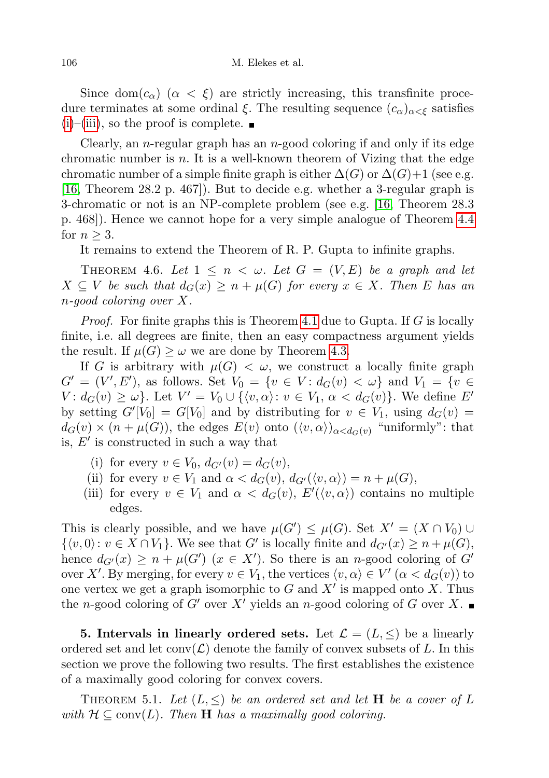Since  $dom(c_{\alpha})$   $(\alpha < \xi)$  are strictly increasing, this transfinite procedure terminates at some ordinal  $\xi$ . The resulting sequence  $(c_{\alpha})_{\alpha<\xi}$  satisfies  $(i)$ –[\(iii\)](#page-10-2), so the proof is complete.

Clearly, an *n*-regular graph has an *n*-good coloring if and only if its edge chromatic number is  $n$ . It is a well-known theorem of Vizing that the edge chromatic number of a simple finite graph is either  $\Delta(G)$  or  $\Delta(G)+1$  (see e.g. [\[16,](#page-32-7) Theorem 28.2 p. 467]). But to decide e.g. whether a 3-regular graph is 3-chromatic or not is an NP-complete problem (see e.g. [\[16,](#page-32-7) Theorem 28.3 p. 468]). Hence we cannot hope for a very simple analogue of Theorem [4.4](#page-9-0) for  $n \geq 3$ .

It remains to extend the Theorem of R. P. Gupta to infinite graphs.

THEOREM 4.6. Let  $1 \leq n \leq \omega$ . Let  $G = (V, E)$  be a graph and let  $X \subseteq V$  be such that  $d_G(x) \geq n + \mu(G)$  for every  $x \in X$ . Then E has an n-good coloring over X.

*Proof.* For finite graphs this is Theorem [4.1](#page-8-1) due to Gupta. If G is locally finite, i.e. all degrees are finite, then an easy compactness argument yields the result. If  $\mu(G) \geq \omega$  we are done by Theorem [4.3.](#page-9-2)

If G is arbitrary with  $\mu(G) < \omega$ , we construct a locally finite graph  $G' = (V', E')$ , as follows. Set  $V_0 = \{v \in V : d_G(v) < \omega\}$  and  $V_1 = \{v \in V\}$  $V: d_G(v) \ge \omega$ . Let  $V' = V_0 \cup \{\langle v, \alpha \rangle : v \in V_1, \alpha < d_G(v)\}.$  We define E<sup>t</sup> by setting  $G'[V_0] = G[V_0]$  and by distributing for  $v \in V_1$ , using  $d_G(v) =$  $d_G(v) \times (n + \mu(G))$ , the edges  $E(v)$  onto  $(\langle v, \alpha \rangle)_{\alpha < d_G(v)}$  "uniformly": that is,  $E'$  is constructed in such a way that

- (i) for every  $v \in V_0$ ,  $d_{G'}(v) = d_G(v)$ ,
- (ii) for every  $v \in V_1$  and  $\alpha < d_G(v)$ ,  $d_{G'}(\langle v, \alpha \rangle) = n + \mu(G)$ ,
- (iii) for every  $v \in V_1$  and  $\alpha < d_G(v)$ ,  $E'(\langle v, \alpha \rangle)$  contains no multiple edges.

This is clearly possible, and we have  $\mu(G') \leq \mu(G)$ . Set  $X' = (X \cap V_0) \cup$  $\{ \langle v, 0 \rangle : v \in X \cap V_1 \}.$  We see that G' is locally finite and  $d_{G'}(x) \ge n + \mu(G)$ , hence  $d_{G'}(x) \geq n + \mu(G')$   $(x \in X')$ . So there is an *n*-good coloring of G<sup>o</sup> over X'. By merging, for every  $v \in V_1$ , the vertices  $\langle v, \alpha \rangle \in V'$   $(\alpha < d_G(v))$  to one vertex we get a graph isomorphic to  $G$  and  $X'$  is mapped onto  $X$ . Thus the n-good coloring of G' over X' yields an n-good coloring of G over X.

<span id="page-11-0"></span>5. Intervals in linearly ordered sets. Let  $\mathcal{L} = (L, \leq)$  be a linearly ordered set and let conv $(\mathcal{L})$  denote the family of convex subsets of L. In this section we prove the following two results. The first establishes the existence of a maximally good coloring for convex covers.

<span id="page-11-1"></span>THEOREM 5.1. Let  $(L, \leq)$  be an ordered set and let **H** be a cover of L with  $\mathcal{H} \subseteq \text{conv}(L)$ . Then **H** has a maximally good coloring.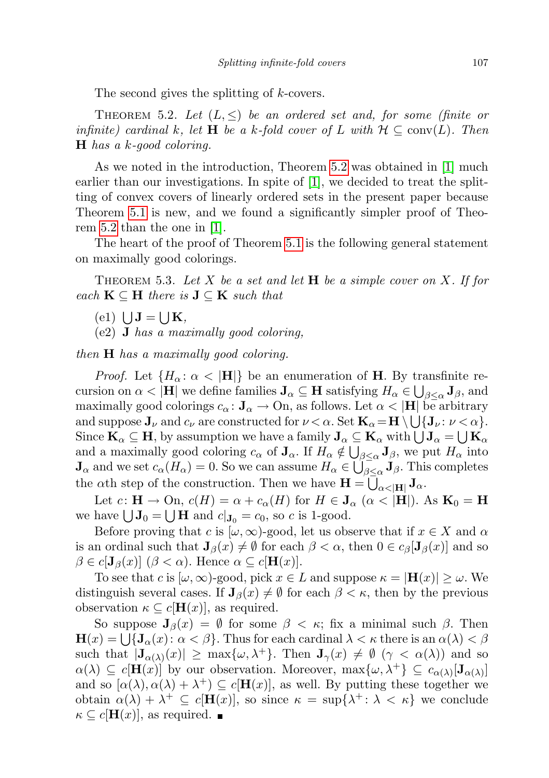The second gives the splitting of *k*-covers.

<span id="page-12-0"></span>THEOREM 5.2. Let  $(L, \leq)$  be an ordered set and, for some (finite or infinite) cardinal k, let **H** be a k-fold cover of L with  $H \subseteq \text{conv}(L)$ . Then  $H$  has a k-good coloring.

As we noted in the introduction, Theorem [5.2](#page-12-0) was obtained in [\[1\]](#page-31-1) much earlier than our investigations. In spite of [\[1\]](#page-31-1), we decided to treat the splitting of convex covers of linearly ordered sets in the present paper because Theorem [5.1](#page-11-1) is new, and we found a significantly simpler proof of Theorem [5.2](#page-12-0) than the one in [\[1\]](#page-31-1).

The heart of the proof of Theorem [5.1](#page-11-1) is the following general statement on maximally good colorings.

<span id="page-12-1"></span>THEOREM 5.3. Let X be a set and let  $H$  be a simple cover on X. If for each  $K \subseteq H$  there is  $J \subseteq K$  such that

(e1)  $\bigcup J = \bigcup K$ ,

(e2) J has a maximally good coloring,

then H has a maximally good coloring.

*Proof.* Let  $\{H_{\alpha} : \alpha < |\mathbf{H}|\}$  be an enumeration of **H**. By transfinite recursion on  $\alpha < |\mathbf{H}|$  we define families  $\mathbf{J}_{\alpha} \subseteq \mathbf{H}$  satisfying  $H_{\alpha} \in \bigcup_{\beta \leq \alpha} \mathbf{J}_{\beta}$ , and maximally good colorings  $c_{\alpha} : \mathbf{J}_{\alpha} \to \mathbf{O}_n$ , as follows. Let  $\alpha < |\mathbf{H}|$  be arbitrary and suppose  $J_{\nu}$  and  $c_{\nu}$  are constructed for  $\nu < \alpha$ . Set  $\mathbf{K}_{\alpha} = \mathbf{H} \setminus \bigcup \{\mathbf{J}_{\nu} \colon \nu < \alpha\}.$ Since  ${\bf K}_\alpha\subseteq{\bf H},$  by assumption we have a family  ${\bf J}_\alpha\subseteq{\bf K}_\alpha$  with  $\bigcup {\bf J}_\alpha=\bigcup {\bf K}_\alpha$ and a maximally good coloring  $c_{\alpha}$  of  $J_{\alpha}$ . If  $H_{\alpha} \notin \bigcup_{\beta \leq \alpha} J_{\beta}$ , we put  $H_{\alpha}$  into  $\mathbf{J}_{\alpha}$  and we set  $c_{\alpha}(H_{\alpha})=0$ . So we can assume  $H_{\alpha}\in\bigcup_{\beta\leq\alpha}\mathbf{J}_{\beta}$ . This completes the  $\alpha$ th step of the construction. Then we have  $\mathbf{H} = \bigcup_{\alpha<|\mathbf{H}|} \mathbf{J}_{\alpha}$ .

Let  $c: \mathbf{H} \to \text{On}, c(H) = \alpha + c_{\alpha}(H)$  for  $H \in \mathbf{J}_{\alpha}$   $(\alpha < |\mathbf{H}|)$ . As  $\mathbf{K}_0 = \mathbf{H}$ we have  $\bigcup \mathbf{J}_0 = \bigcup \mathbf{H}$  and  $c|_{\mathbf{J}_0} = c_0$ , so c is 1-good.

Before proving that c is  $[\omega, \infty)$ -good, let us observe that if  $x \in X$  and  $\alpha$ is an ordinal such that  $J_\beta(x) \neq \emptyset$  for each  $\beta < \alpha$ , then  $0 \in c_\beta[J_\beta(x)]$  and so  $\beta \in c[\mathbf{J}_{\beta}(x)]$  ( $\beta < \alpha$ ). Hence  $\alpha \subseteq c[\mathbf{H}(x)]$ .

To see that c is  $[\omega, \infty)$ -good, pick  $x \in L$  and suppose  $\kappa = |\mathbf{H}(x)| \ge \omega$ . We distinguish several cases. If  $J_\beta(x) \neq \emptyset$  for each  $\beta < \kappa$ , then by the previous observation  $\kappa \subseteq c|\mathbf{H}(x)|$ , as required.

So suppose  $J_\beta(x) = \emptyset$  for some  $\beta < \kappa$ ; fix a minimal such  $\beta$ . Then  $\mathbf{H}(x) = \bigcup \{ \mathbf{J}_{\alpha}(x) \colon \alpha < \beta \}.$  Thus for each cardinal  $\lambda < \kappa$  there is an  $\alpha(\lambda) < \beta$ such that  $|\mathbf{J}_{\alpha(\lambda)}(x)| \geq \max\{\omega, \lambda^+\}\$ . Then  $\mathbf{J}_{\gamma}(x) \neq \emptyset$   $(\gamma < \alpha(\lambda))$  and so  $\alpha(\lambda) \subseteq c[\mathbf{H}(x)]$  by our observation. Moreover,  $\max\{\omega, \lambda^+\} \subseteq c_{\alpha(\lambda)}[\mathbf{J}_{\alpha(\lambda)}]$ and so  $[\alpha(\lambda), \alpha(\lambda) + \lambda^+] \subseteq c[\mathbf{H}(x)],$  as well. By putting these together we obtain  $\alpha(\lambda) + \lambda^+ \subseteq c[\mathbf{H}(x)],$  so since  $\kappa = \sup{\{\lambda^+ : \lambda < \kappa\}}$  we conclude  $\kappa \subseteq c[\mathbf{H}(x)],$  as required.  $\blacksquare$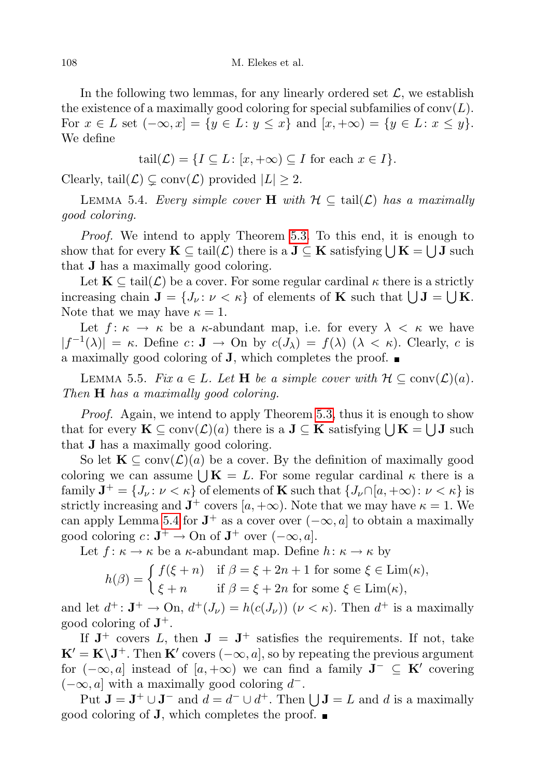In the following two lemmas, for any linearly ordered set  $\mathcal{L}$ , we establish the existence of a maximally good coloring for special subfamilies of  $conv(L)$ . For  $x \in L$  set  $(-\infty, x] = \{y \in L : y \leq x\}$  and  $[x, +\infty) = \{y \in L : x \leq y\}.$ We define

$$
tail(\mathcal{L}) = \{ I \subseteq L : [x, +\infty) \subseteq I \text{ for each } x \in I \}.
$$

Clearly, tail $(\mathcal{L}) \subsetneq \text{conv}(\mathcal{L})$  provided  $|L| \geq 2$ .

<span id="page-13-0"></span>LEMMA 5.4. Every simple cover **H** with  $H \subseteq \text{tail}(\mathcal{L})$  has a maximally good coloring.

Proof. We intend to apply Theorem [5.3.](#page-12-1) To this end, it is enough to show that for every  $\mathbf{K} \subseteq \text{tail}(\mathcal{L})$  there is a  $\mathbf{J} \subseteq \mathbf{K}$  satisfying  $\bigcup \mathbf{K} = \bigcup \mathbf{J}$  such that J has a maximally good coloring.

Let  $\mathbf{K} \subseteq \text{tail}(\mathcal{L})$  be a cover. For some regular cardinal  $\kappa$  there is a strictly increasing chain  $J = \{J_\nu : \nu < \kappa\}$  of elements of K such that  $\bigcup J = \bigcup K$ . Note that we may have  $\kappa = 1$ .

Let  $f: \kappa \to \kappa$  be a  $\kappa$ -abundant map, i.e. for every  $\lambda < \kappa$  we have  $|f^{-1}(\lambda)| = \kappa$ . Define  $c: \mathbf{J} \to \text{On by } c(J_\lambda) = f(\lambda)$   $(\lambda < \kappa)$ . Clearly, c is a maximally good coloring of **J**, which completes the proof.  $\blacksquare$ 

<span id="page-13-1"></span>LEMMA 5.5. Fix  $a \in L$ . Let **H** be a simple cover with  $\mathcal{H} \subseteq \text{conv}(\mathcal{L})(a)$ . Then **H** has a maximally good coloring.

Proof. Again, we intend to apply Theorem [5.3,](#page-12-1) thus it is enough to show that for every  $\mathbf{K} \subseteq \text{conv}(\mathcal{L})(a)$  there is a  $\mathbf{J} \subseteq \mathbf{K}$  satisfying  $\bigcup \mathbf{K} = \bigcup \mathbf{J}$  such that J has a maximally good coloring.

So let  $\mathbf{K} \subseteq \text{conv}(\mathcal{L})(a)$  be a cover. By the definition of maximally good coloring we can assume  $\bigcup \mathbf{K} = L$ . For some regular cardinal  $\kappa$  there is a family  $\mathbf{J}^+ = \{J_\nu : \nu < \kappa\}$  of elements of  $\mathbf K$  such that  $\{J_\nu \cap [a, +\infty) : \nu < \kappa\}$  is strictly increasing and  $J^+$  covers  $[a, +\infty)$ . Note that we may have  $\kappa = 1$ . We can apply Lemma [5.4](#page-13-0) for  $J^+$  as a cover over  $(-\infty, a]$  to obtain a maximally good coloring  $c: \mathbf{J}^+ \to \text{On}$  of  $\mathbf{J}^+$  over  $(-\infty, a]$ .

Let  $f: \kappa \to \kappa$  be a  $\kappa$ -abundant map. Define  $h: \kappa \to \kappa$  by

$$
h(\beta) = \begin{cases} f(\xi + n) & \text{if } \beta = \xi + 2n + 1 \text{ for some } \xi \in \text{Lim}(\kappa), \\ \xi + n & \text{if } \beta = \xi + 2n \text{ for some } \xi \in \text{Lim}(\kappa), \end{cases}
$$

and let  $d^+ : \mathbf{J}^+ \to \text{On}, d^+(J_\nu) = h(c(J_\nu))$   $(\nu < \kappa)$ . Then  $d^+$  is a maximally good coloring of  $J^+$ .

If  $J^+$  covers L, then  $J = J^+$  satisfies the requirements. If not, take  $\mathbf{K}' = \mathbf{K} \backslash \mathbf{J}^+$ . Then  $\mathbf{K}'$  covers  $(-\infty, a]$ , so by repeating the previous argument for  $(-\infty, a]$  instead of  $[a, +\infty)$  we can find a family  $J^- \subseteq K'$  covering  $(-\infty, a]$  with a maximally good coloring  $d^-$ .

Put  $J = J^+ \cup J^-$  and  $d = d^- \cup d^+$ . Then  $\bigcup J = L$  and d is a maximally good coloring of **J**, which completes the proof.  $\blacksquare$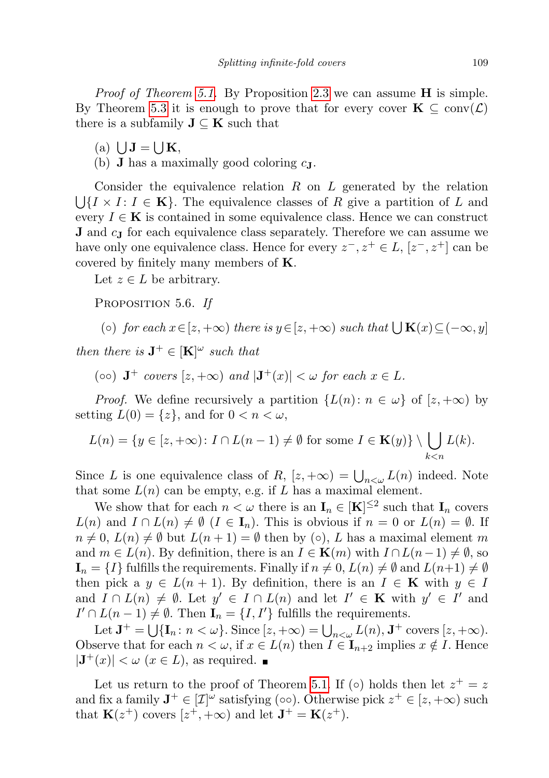*Proof of Theorem [5.1.](#page-11-1)* By Proposition [2.3](#page-3-1) we can assume  $H$  is simple. By Theorem [5.3](#page-12-1) it is enough to prove that for every cover  $\mathbf{K} \subseteq \text{conv}(\mathcal{L})$ there is a subfamily  $J \subseteq K$  such that

- (a)  $\bigcup J = \bigcup K$ ,
- (b) **J** has a maximally good coloring  $c_{\mathbf{J}}$ .

Consider the equivalence relation  $R$  on  $L$  generated by the relation  $\bigcup \{I \times I : I \in \mathbf{K}\}\.$  The equivalence classes of R give a partition of L and every  $I \in \mathbf{K}$  is contained in some equivalence class. Hence we can construct  $J$  and  $c_J$  for each equivalence class separately. Therefore we can assume we have only one equivalence class. Hence for every  $z^-, z^+ \in L$ ,  $[z^-, z^+]$  can be covered by finitely many members of  $K$ .

<span id="page-14-0"></span>Let  $z \in L$  be arbitrary.

PROPOSITION 5.6. If

(o) for each 
$$
x \in [z, +\infty)
$$
 there is  $y \in [z, +\infty)$  such that  $\bigcup \mathbf{K}(x) \subseteq (-\infty, y]$ 

then there is  $\mathbf{J}^+ \in [\mathbf{K}]^{\omega}$  such that

(oo)  $J^+$  covers  $[z, +\infty)$  and  $|J^+(x)| < \omega$  for each  $x \in L$ .

*Proof.* We define recursively a partition  $\{L(n): n \in \omega\}$  of  $[z, +\infty)$  by setting  $L(0) = \{z\}$ , and for  $0 < n < \omega$ ,

$$
L(n) = \{ y \in [z, +\infty) \colon I \cap L(n-1) \neq \emptyset \text{ for some } I \in \mathbf{K}(y) \} \setminus \bigcup_{k < n} L(k).
$$

Since L is one equivalence class of R,  $[z, +\infty) = \bigcup_{n<\omega} L(n)$  indeed. Note that some  $L(n)$  can be empty, e.g. if L has a maximal element.

We show that for each  $n < \omega$  there is an  $\mathbf{I}_n \in [\mathbf{K}]^{\leq 2}$  such that  $\mathbf{I}_n$  covers  $L(n)$  and  $I \cap L(n) \neq \emptyset$   $(I \in I_n)$ . This is obvious if  $n = 0$  or  $L(n) = \emptyset$ . If  $n \neq 0, L(n) \neq \emptyset$  but  $L(n + 1) = \emptyset$  then by (◦), L has a maximal element m and  $m \in L(n)$ . By definition, there is an  $I \in \mathbf{K}(m)$  with  $I \cap L(n-1) \neq \emptyset$ , so  $\mathbf{I}_n = \{I\}$  fulfills the requirements. Finally if  $n \neq 0, L(n) \neq \emptyset$  and  $L(n+1) \neq \emptyset$ then pick a  $y \in L(n+1)$ . By definition, there is an  $I \in \mathbf{K}$  with  $y \in I$ and  $I \cap L(n) \neq \emptyset$ . Let  $y' \in I \cap L(n)$  and let  $I' \in \mathbf{K}$  with  $y' \in I'$  and  $I' \cap L(n-1) \neq \emptyset$ . Then  $\mathbf{I}_n = \{I, I'\}$  fulfills the requirements.

Let  $\mathbf{J}^+ = \bigcup \{\mathbf{I}_n : n < \omega\}$ . Since  $[z, +\infty) = \bigcup_{n < \omega} L(n)$ ,  $\mathbf{J}^+$  covers  $[z, +\infty)$ . Observe that for each  $n < \omega$ , if  $x \in L(n)$  then  $I \in I_{n+2}$  implies  $x \notin I$ . Hence  $|\mathbf{J}^{+}(x)| < \omega \ (x \in L)$ , as required.

Let us return to the proof of Theorem [5.1.](#page-11-1) If (◦) holds then let  $z^+ = z$ and fix a family  $J^+ \in [\mathcal{I}]^{\omega}$  satisfying (∘∘). Otherwise pick  $z^+ \in [z, +\infty)$  such that  $\mathbf{K}(z^+)$  covers  $[z^+, +\infty)$  and let  $\mathbf{J}^+ = \mathbf{K}(z^+).$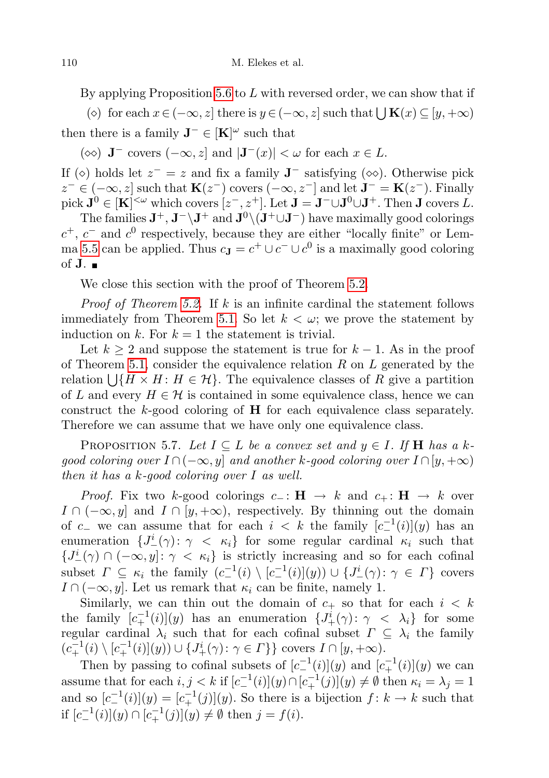By applying Proposition [5.6](#page-14-0) to  $L$  with reversed order, we can show that if

( $\diamond$ ) for each  $x \in (-\infty, z]$  there is  $y \in (-\infty, z]$  such that  $\bigcup \mathbf{K}(x) \subseteq [y, +\infty)$ then there is a family  $\mathbf{J}^- \in [\mathbf{K}]^{\omega}$  such that

(∞) **J**<sup>−</sup> covers  $(-\infty, z]$  and  $|\mathbf{J}^{-}(x)| < \omega$  for each  $x \in L$ .

If ( $\diamond$ ) holds let  $z^- = z$  and fix a family **J**<sup>-</sup> satisfying ( $\diamond \diamond$ ). Otherwise pick  $z^- \in (-\infty, z]$  such that  $\mathbf{K}(z^-)$  covers  $(-\infty, z^-]$  and let  $\mathbf{J}^- = \mathbf{K}(z^-)$ . Finally pick  $\mathbf{J}^0 \in [\mathbf{K}]^{<\omega}$  which covers  $[z^-,z^+]$ . Let  $\mathbf{J} = \mathbf{J}^- \cup \mathbf{J}^0 \cup \mathbf{J}^+$ . Then  $\mathbf{J}$  covers  $L$ .

The families  $J^+$ ,  $J^- \backslash J^+$  and  $J^0 \backslash (J^+ \cup J^-)$  have maximally good colorings  $c^+$ ,  $c^-$  and  $c^0$  respectively, because they are either "locally finite" or Lem-ma [5.5](#page-13-1) can be applied. Thus  $c_{\mathbf{J}} = c^+ \cup c^- \cup c^0$  is a maximally good coloring of **J**.  $\blacksquare$ 

We close this section with the proof of Theorem [5.2.](#page-12-0)

*Proof of Theorem [5.2.](#page-12-0)* If k is an infinite cardinal the statement follows immediately from Theorem [5.1.](#page-11-1) So let  $k < \omega$ ; we prove the statement by induction on k. For  $k = 1$  the statement is trivial.

Let  $k \geq 2$  and suppose the statement is true for  $k-1$ . As in the proof of Theorem [5.1,](#page-11-1) consider the equivalence relation  $R$  on  $L$  generated by the relation  $\bigcup \{ H \times H : H \in \mathcal{H} \}.$  The equivalence classes of R give a partition of L and every  $H \in \mathcal{H}$  is contained in some equivalence class, hence we can construct the k-good coloring of H for each equivalence class separately. Therefore we can assume that we have only one equivalence class.

<span id="page-15-0"></span>PROPOSITION 5.7. Let  $I \subseteq L$  be a convex set and  $y \in I$ . If **H** has a kgood coloring over  $I \cap (-\infty, y]$  and another k-good coloring over  $I \cap [y, +\infty)$ then it has a k-good coloring over I as well.

*Proof.* Fix two k-good colorings  $c_-\colon H \to k$  and  $c_+\colon H \to k$  over  $I \cap (-\infty, y]$  and  $I \cap [y, +\infty)$ , respectively. By thinning out the domain of c<sub>−</sub> we can assume that for each  $i \leq k$  the family  $[c_{-}^{-1}(i)](y)$  has an enumeration  $\{J^i_-(\gamma): \gamma \leq \kappa_i\}$  for some regular cardinal  $\kappa_i$  such that  ${J^i_-(\gamma) \cap (-\infty, y] \colon \gamma \leq \kappa_i}$  is strictly increasing and so for each cofinal subset  $\Gamma \subseteq \kappa_i$  the family  $(c^{-1}_-(i) \setminus [c^{-1}_-(i)](y)) \cup \{J^i_-(\gamma) : \gamma \in \Gamma\}$  covers  $I \cap (-\infty, y]$ . Let us remark that  $\kappa_i$  can be finite, namely 1.

Similarly, we can thin out the domain of  $c_{+}$  so that for each  $i < k$ the family  $[c_{+}^{-1}(i)](y)$  has an enumeration  $\{J_{+}^{i}(\gamma):\gamma\ < \ \lambda_{i}\}$  for some regular cardinal  $\lambda_i$  such that for each cofinal subset  $\Gamma \subseteq \lambda_i$  the family  $(c_+^{-1}(i) \setminus [c_+^{-1}(i)](y)) \cup \{J_+^i(\gamma) : \gamma \in \Gamma\}$  covers  $I \cap [y, +\infty)$ .

Then by passing to cofinal subsets of  $[c_{-}^{-1}(i)](y)$  and  $[c_{+}^{-1}(i)](y)$  we can assume that for each  $i, j < k$  if  $[c_{-}^{-1}(i)](y) \cap [c_{+}^{-1}(j)](y) \neq \emptyset$  then  $\kappa_i = \lambda_j = 1$ and so  $[c_{-}^{-1}(i)](y) = [c_{+}^{-1}(j)](y)$ . So there is a bijection  $f: k \to k$  such that if  $[c_{-}^{-1}(i)](y) \cap [c_{+}^{-1}(j)](y) \neq \emptyset$  then  $j = f(i)$ .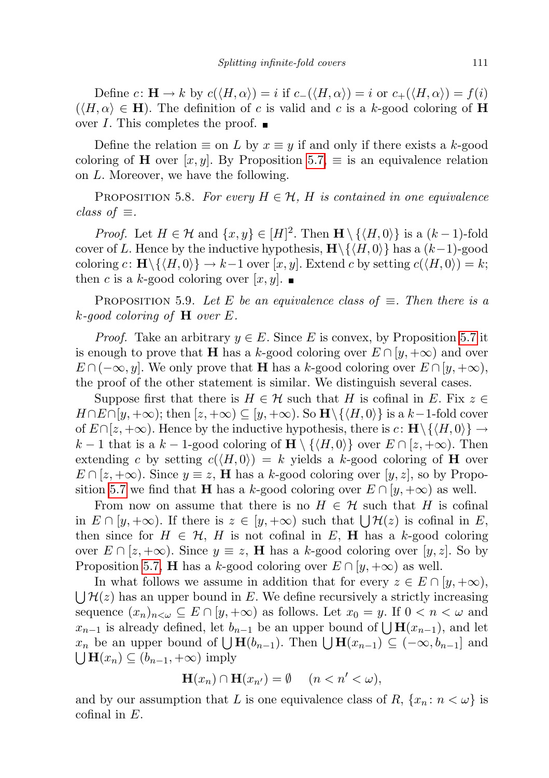Define  $c: \mathbf{H} \to k$  by  $c(\langle H, \alpha \rangle) = i$  if  $c_-(\langle H, \alpha \rangle) = i$  or  $c_+(\langle H, \alpha \rangle) = f(i)$  $(\langle H, \alpha \rangle \in \mathbf{H})$ . The definition of c is valid and c is a k-good coloring of **H** over I. This completes the proof.  $\blacksquare$ 

Define the relation  $\equiv$  on L by  $x \equiv y$  if and only if there exists a k-good coloring of **H** over [x, y]. By Proposition [5.7,](#page-15-0)  $\equiv$  is an equivalence relation on L. Moreover, we have the following.

<span id="page-16-0"></span>PROPOSITION 5.8. For every  $H \in \mathcal{H}$ , H is contained in one equivalence class of  $\equiv$ .

*Proof.* Let  $H \in \mathcal{H}$  and  $\{x, y\} \in [H]^2$ . Then  $\mathbf{H} \setminus \{ \langle H, 0 \rangle \}$  is a  $(k-1)$ -fold cover of L. Hence by the inductive hypothesis,  $\mathbf{H}\setminus\{\langle H, 0\rangle\}$  has a  $(k-1)$ -good coloring  $c: \mathbf{H}\backslash \{\langle H, 0\rangle\} \to k-1$  over  $[x, y]$ . Extend c by setting  $c(\langle H, 0\rangle) = k$ ; then c is a k-good coloring over  $[x, y]$ .

<span id="page-16-1"></span>PROPOSITION 5.9. Let E be an equivalence class of  $\equiv$ . Then there is a k-good coloring of  $H$  over  $E$ .

*Proof.* Take an arbitrary  $y \in E$ . Since E is convex, by Proposition [5.7](#page-15-0) it is enough to prove that H has a k-good coloring over  $E \cap [y, +\infty)$  and over  $E \cap (-\infty, y]$ . We only prove that **H** has a k-good coloring over  $E \cap [y, +\infty)$ , the proof of the other statement is similar. We distinguish several cases.

Suppose first that there is  $H \in \mathcal{H}$  such that H is cofinal in E. Fix  $z \in$  $H \cap E \cap [y, +\infty)$ ; then  $[z, +\infty) \subseteq [y, +\infty)$ . So  $\mathbf{H} \setminus \{ \langle H, 0 \rangle \}$  is a k-1-fold cover of  $E \cap [z, +\infty)$ . Hence by the inductive hypothesis, there is  $c : H \setminus {\{H, 0\}} \rightarrow$  $k-1$  that is a  $k-1$ -good coloring of  $\mathbf{H} \setminus \{ \langle H, 0 \rangle \}$  over  $E \cap [z, +\infty)$ . Then extending c by setting  $c(\langle H, 0 \rangle) = k$  yields a k-good coloring of **H** over  $E \cap [z, +\infty)$ . Since  $y \equiv z$ , **H** has a k-good coloring over  $[y, z]$ , so by Propo-sition [5.7](#page-15-0) we find that **H** has a k-good coloring over  $E \cap [y, +\infty)$  as well.

From now on assume that there is no  $H \in \mathcal{H}$  such that H is cofinal in  $E \cap [y, +\infty)$ . If there is  $z \in [y, +\infty)$  such that  $\bigcup \mathcal{H}(z)$  is cofinal in E, then since for  $H \in \mathcal{H}$ , H is not cofinal in E, H has a k-good coloring over  $E \cap [z, +\infty)$ . Since  $y \equiv z$ , **H** has a k-good coloring over  $[y, z]$ . So by Proposition [5.7,](#page-15-0) **H** has a k-good coloring over  $E \cap [y, +\infty)$  as well.

In what follows we assume in addition that for every  $z \in E \cap [y, +\infty)$ ,  $\bigcup \mathcal{H}(z)$  has an upper bound in E. We define recursively a strictly increasing sequence  $(x_n)_{n<\omega} \subseteq E \cap [y,+\infty)$  as follows. Let  $x_0 = y$ . If  $0 < n < \omega$  and  $x_{n-1}$  is already defined, let  $b_{n-1}$  be an upper bound of  $\bigcup \mathbf{H}(x_{n-1})$ , and let  $x_n$  be an upper bound of  $\bigcup \mathbf{H}(b_{n-1})$ . Then  $\bigcup \mathbf{H}(x_{n-1}) \subseteq (-\infty, b_{n-1}]$  and  $\bigcup \mathbf{H}(x_n) \subseteq (b_{n-1}, +\infty)$  imply

$$
\mathbf{H}(x_n) \cap \mathbf{H}(x_{n'}) = \emptyset \quad (n < n' < \omega),
$$

and by our assumption that L is one equivalence class of R,  $\{x_n : n < \omega\}$  is cofinal in  $E$ .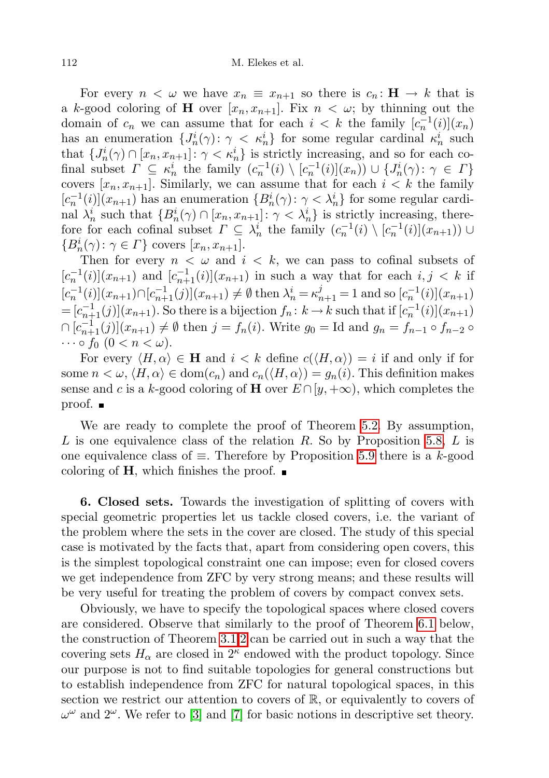For every  $n < \omega$  we have  $x_n \equiv x_{n+1}$  so there is  $c_n : H \to k$  that is a k-good coloring of **H** over  $[x_n, x_{n+1}]$ . Fix  $n < \omega$ ; by thinning out the domain of  $c_n$  we can assume that for each  $i < k$  the family  $[c_n^{-1}(i)](x_n)$ has an enumeration  $\{J_n^i(\gamma): \gamma \langle \kappa_n^i \}$  for some regular cardinal  $\kappa_n^i$  such that  $\{J_n^i(\gamma) \cap [x_n, x_{n+1}] : \gamma < \kappa_n^i\}$  is strictly increasing, and so for each cofinal subset  $\Gamma \subseteq \kappa_n^i$  the family  $(c_n^{-1}(i) \setminus [c_n^{-1}(i)](x_n)) \cup \{J_n^i(\gamma) : \gamma \in \Gamma\}$ covers  $[x_n, x_{n+1}]$ . Similarly, we can assume that for each  $i < k$  the family  $[c_n^{-1}(i)](x_{n+1})$  has an enumeration  $\{B_n^i(\gamma): \gamma < \lambda_n^i\}$  for some regular cardinal  $\lambda_n^i$  such that  $\{B_n^i(\gamma) \cap [x_n, x_{n+1}]: \gamma < \lambda_n^i\}$  is strictly increasing, therefore for each cofinal subset  $\Gamma \subseteq \lambda_n^i$  the family  $(c_n^{-1}(i) \setminus [c_n^{-1}(i)](x_{n+1})) \cup$  ${B_n^i(\gamma) : \gamma \in \Gamma}$  covers  $[x_n, x_{n+1}]$ .

Then for every  $n < \omega$  and  $i < k$ , we can pass to cofinal subsets of  $[c_n^{-1}(i)](x_{n+1})$  and  $[c_{n+1}^{-1}(i)](x_{n+1})$  in such a way that for each  $i, j < k$  if  $[c_n^{-1}(i)](x_{n+1}) \cap [c_{n+1}^{-1}(j)](x_{n+1}) \neq \emptyset$  then  $\lambda_n^i = \kappa_{n+1}^j = 1$  and so  $[c_n^{-1}(i)](x_{n+1})$  $=[c_{n+1}^{-1}(j)](x_{n+1})$ . So there is a bijection  $f_n: k \to k$  such that if  $[c_n^{-1}(i)](x_{n+1})$ ∩  $[c_{n+1}^{-1}(j)](x_{n+1}) \neq \emptyset$  then  $j = f_n(i)$ . Write  $g_0 =$  Id and  $g_n = f_{n-1} \circ f_{n-2} \circ f_n$  $\cdots \circ f_0$   $(0 < n < \omega).$ 

For every  $\langle H, \alpha \rangle \in \mathbf{H}$  and  $i < k$  define  $c(\langle H, \alpha \rangle) = i$  if and only if for some  $n < \omega$ ,  $\langle H, \alpha \rangle \in \text{dom}(c_n)$  and  $c_n(\langle H, \alpha \rangle) = g_n(i)$ . This definition makes sense and c is a k-good coloring of **H** over  $E \cap [y, +\infty)$ , which completes the proof.

We are ready to complete the proof of Theorem [5.2.](#page-12-0) By assumption, L is one equivalence class of the relation R. So by Proposition [5.8,](#page-16-0) L is one equivalence class of  $\equiv$ . Therefore by Proposition [5.9](#page-16-1) there is a k-good coloring of  $H$ , which finishes the proof.  $\blacksquare$ 

<span id="page-17-0"></span>6. Closed sets. Towards the investigation of splitting of covers with special geometric properties let us tackle closed covers, i.e. the variant of the problem where the sets in the cover are closed. The study of this special case is motivated by the facts that, apart from considering open covers, this is the simplest topological constraint one can impose; even for closed covers we get independence from ZFC by very strong means; and these results will be very useful for treating the problem of covers by compact convex sets.

Obviously, we have to specify the topological spaces where closed covers are considered. Observe that similarly to the proof of Theorem [6.1](#page-18-0) below, the construction of Theorem [3.1](#page-6-7)[.2](#page-6-2) can be carried out in such a way that the covering sets  $H_{\alpha}$  are closed in  $2^{\kappa}$  endowed with the product topology. Since our purpose is not to find suitable topologies for general constructions but to establish independence from ZFC for natural topological spaces, in this section we restrict our attention to covers of R, or equivalently to covers of  $\omega^{\omega}$  and  $2^{\omega}$ . We refer to [\[3\]](#page-31-3) and [\[7\]](#page-32-9) for basic notions in descriptive set theory.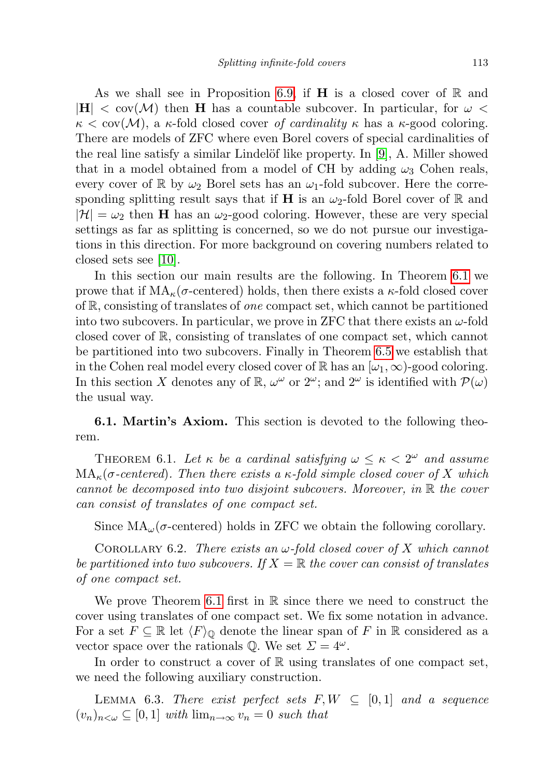As we shall see in Proposition [6.9,](#page-24-0) if **H** is a closed cover of  $\mathbb{R}$  and  $|H| < \text{cov}(\mathcal{M})$  then H has a countable subcover. In particular, for  $\omega <$  $\kappa < \text{cov}(\mathcal{M})$ , a κ-fold closed cover of cardinality  $\kappa$  has a κ-good coloring. There are models of ZFC where even Borel covers of special cardinalities of the real line satisfy a similar Lindelöf like property. In  $[9]$ , A. Miller showed that in a model obtained from a model of CH by adding  $\omega_3$  Cohen reals, every cover of R by  $\omega_2$  Borel sets has an  $\omega_1$ -fold subcover. Here the corresponding splitting result says that if **H** is an  $\omega_2$ -fold Borel cover of R and  $|\mathcal{H}| = \omega_2$  then **H** has an  $\omega_2$ -good coloring. However, these are very special settings as far as splitting is concerned, so we do not pursue our investigations in this direction. For more background on covering numbers related to closed sets see [\[10\]](#page-32-11).

In this section our main results are the following. In Theorem [6.1](#page-18-0) we prowe that if  $MA_{\kappa}(\sigma$ -centered) holds, then there exists a  $\kappa$ -fold closed cover of R, consisting of translates of one compact set, which cannot be partitioned into two subcovers. In particular, we prove in ZFC that there exists an  $\omega$ -fold closed cover of R, consisting of translates of one compact set, which cannot be partitioned into two subcovers. Finally in Theorem [6.5](#page-22-0) we establish that in the Cohen real model every closed cover of R has an  $\omega_1, \infty$ )-good coloring. In this section X denotes any of  $\mathbb{R}, \omega^{\omega}$  or  $2^{\omega}$ ; and  $2^{\omega}$  is identified with  $\mathcal{P}(\omega)$ the usual way.

6.1. Martin's Axiom. This section is devoted to the following theorem.

<span id="page-18-0"></span>THEOREM 6.1. Let  $\kappa$  be a cardinal satisfying  $\omega \leq \kappa < 2^{\omega}$  and assume  $MA_{\kappa}(\sigma\text{-centered})$ . Then there exists a  $\kappa\text{-fold simple closed cover of }X$  which cannot be decomposed into two disjoint subcovers. Moreover, in  $\mathbb R$  the cover can consist of translates of one compact set.

Since  $MA_{\omega}(\sigma\text{-centered})$  holds in ZFC we obtain the following corollary.

<span id="page-18-2"></span>COROLLARY 6.2. There exists an  $\omega$ -fold closed cover of X which cannot be partitioned into two subcovers. If  $X = \mathbb{R}$  the cover can consist of translates of one compact set.

We prove Theorem [6.1](#page-18-0) first in  $\mathbb R$  since there we need to construct the cover using translates of one compact set. We fix some notation in advance. For a set  $F \subseteq \mathbb{R}$  let  $\langle F \rangle_{\mathbb{Q}}$  denote the linear span of F in R considered as a vector space over the rationals  $\mathbb{Q}$ . We set  $\Sigma = 4^{\omega}$ .

In order to construct a cover of  $\mathbb R$  using translates of one compact set, we need the following auxiliary construction.

<span id="page-18-1"></span>LEMMA 6.3. There exist perfect sets  $F, W \subseteq [0,1]$  and a sequence  $(v_n)_{n<\omega} \subseteq [0,1]$  with  $\lim_{n\to\infty} v_n = 0$  such that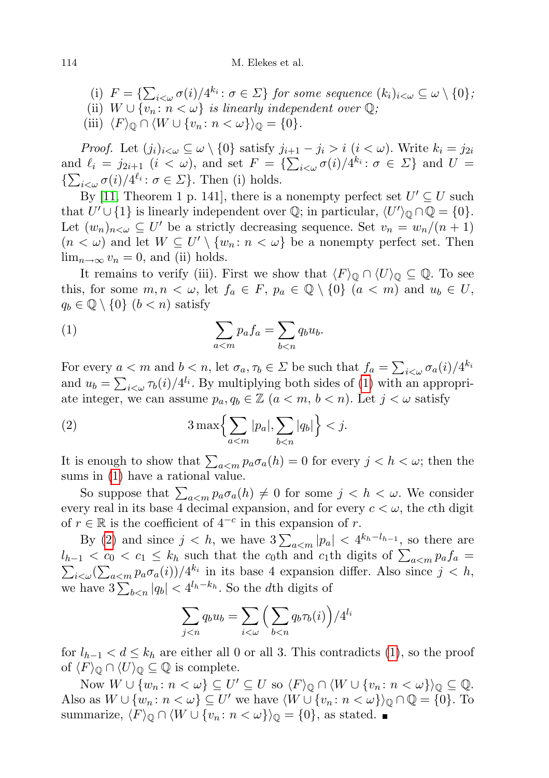- (i)  $F = \{\sum_{i<\omega} \sigma(i)/4^{k_i} : \sigma \in \Sigma\}$  for some sequence  $(k_i)_{i<\omega} \subseteq \omega \setminus \{0\}$ ;
- <span id="page-19-2"></span>(ii)  $W \cup \{v_n : n < \omega\}$  is linearly independent over  $\mathbb{Q}$ ;
- <span id="page-19-3"></span>(iii)  $\langle F \rangle_{\mathbb{Q}} \cap \langle W \cup \{v_n : n < \omega\} \rangle_{\mathbb{Q}} = \{0\}.$

*Proof.* Let  $(j_i)_{i < \omega} \subseteq \omega \setminus \{0\}$  satisfy  $j_{i+1} - j_i > i \ (i < \omega)$ . Write  $k_i = j_{2i}$ and  $\ell_i = j_{2i+1}$   $(i < \omega)$ , and set  $F = {\sum_{i<\omega} \sigma(i)}/{4^{k_i}}$ :  $\sigma \in \Sigma$  and  $U =$  $\{\sum_{i<\omega}\sigma(i)/4^{\ell_i}:\sigma\in\Sigma\}$ . Then (i) holds.

By [\[11,](#page-32-12) Theorem 1 p. 141], there is a nonempty perfect set  $U' \subseteq U$  such that  $U' \cup \{1\}$  is linearly independent over  $\mathbb{Q}$ ; in particular,  $\langle U' \rangle_{\mathbb{Q}} \cap \mathbb{Q} = \{0\}.$ Let  $(w_n)_{n \leq \omega} \subseteq U'$  be a strictly decreasing sequence. Set  $v_n = w_n/(n+1)$  $(n < \omega)$  and let  $W \subseteq U' \setminus \{w_n : n < \omega\}$  be a nonempty perfect set. Then  $\lim_{n\to\infty} v_n = 0$ , and (ii) holds.

It remains to verify (iii). First we show that  $\langle F \rangle_{\mathbb{Q}} \cap \langle U \rangle_{\mathbb{Q}} \subseteq \mathbb{Q}$ . To see this, for some  $m, n < \omega$ , let  $f_a \in F$ ,  $p_a \in \mathbb{Q} \setminus \{0\}$   $(a < m)$  and  $u_b \in U$ ,  $q_b \in \mathbb{Q} \setminus \{0\}$   $(b < n)$  satisfy

<span id="page-19-0"></span>(1) 
$$
\sum_{a
$$

For every  $a < m$  and  $b < n$ , let  $\sigma_a, \tau_b \in \Sigma$  be such that  $f_a = \sum_{i < \omega} \sigma_a(i)/4^{k_i}$ and  $u_b = \sum_{i<\omega} \tau_b(i)/4^{l_i}$ . By multiplying both sides of [\(1\)](#page-19-0) with an appropriate integer, we can assume  $p_a, q_b \in \mathbb{Z}$   $(a < m, b < n)$ . Let  $j < \omega$  satisfy

<span id="page-19-1"></span>(2) 
$$
3\max\left\{\sum_{a
$$

It is enough to show that  $\sum_{a \le m} p_a \sigma_a(h) = 0$  for every  $j < h < \omega$ ; then the sums in [\(1\)](#page-19-0) have a rational value.

So suppose that  $\sum_{a \le m} p_a \sigma_a(h) \ne 0$  for some  $j < h < \omega$ . We consider every real in its base 4 decimal expansion, and for every  $c < \omega$ , the cth digit of  $r \in \mathbb{R}$  is the coefficient of  $4^{-c}$  in this expansion of r.

By [\(2\)](#page-19-1) and since  $j < h$ , we have  $3\sum_{a, so there are$  $l_{h-1} < c_0 < c_1 \leq k_h$  such that the c<sub>0</sub>th and c<sub>1</sub>th digits of  $\sum_{a \leq m} p_a f_a =$  $\sum_{i\leq \omega} (\sum_{a\leq m} p_a \sigma_a(i))/4^{k_i}$  in its base 4 expansion differ. Also since  $j < h$ , we have  $3\sum_{b\leq n}|q_b| < 4^{l_h-k_h}$ . So the dth digits of

$$
\sum_{j < n} q_b u_b = \sum_{i < \omega} \left( \sum_{b < n} q_b \tau_b(i) \right) / 4^{l_i}
$$

for  $l_{h-1} < d \leq k_h$  are either all 0 or all 3. This contradicts [\(1\)](#page-19-0), so the proof of  $\langle F \rangle_{\mathbb{Q}} \cap \langle U \rangle_{\mathbb{Q}} \subseteq \mathbb{Q}$  is complete.

Now  $W \cup \{w_n : n < \omega\} \subseteq U' \subseteq U$  so  $\langle F \rangle_{\mathbb{Q}} \cap \langle W \cup \{v_n : n < \omega\} \rangle_{\mathbb{Q}} \subseteq \mathbb{Q}$ . Also as  $W \cup \{w_n : n < \omega\} \subseteq U'$  we have  $\langle W \cup \{v_n : n < \omega\}\rangle_{\mathbb{Q}} \cap \mathbb{Q} = \{0\}$ . To summarize,  $\langle F \rangle_{\mathbb{Q}} \cap \langle W \cup \{v_n : n < \omega\} \rangle_{\mathbb{Q}} = \{0\}$ , as stated. ■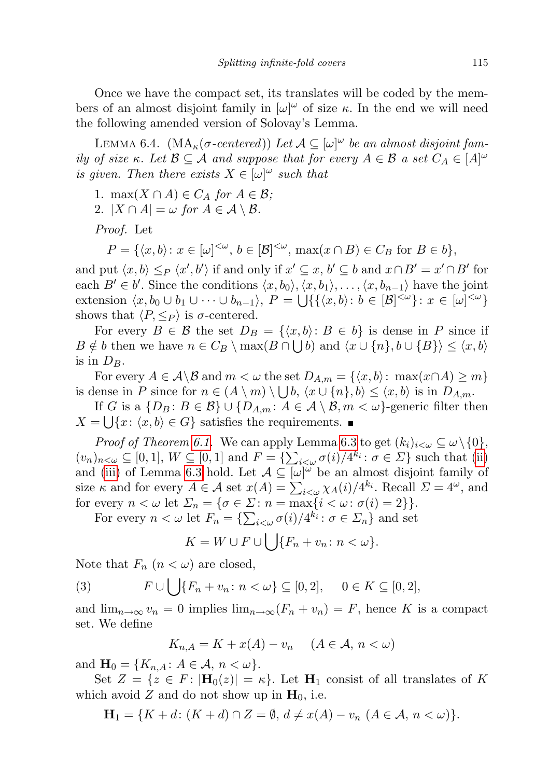Once we have the compact set, its translates will be coded by the members of an almost disjoint family in  $[\omega]^\omega$  of size  $\kappa$ . In the end we will need the following amended version of Solovay's Lemma.

<span id="page-20-0"></span>LEMMA 6.4.  $(MA_{\kappa}(\sigma\text{-centered}))$  Let  $\mathcal{A} \subseteq [\omega]^{\omega}$  be an almost disjoint family of size  $\kappa$ . Let  $\mathcal{B} \subseteq \mathcal{A}$  and suppose that for every  $A \in \mathcal{B}$  a set  $C_A \in [A]^{\omega}$ is given. Then there exists  $X \in [\omega]^\omega$  such that

- 1. max $(X \cap A) \in C_A$  for  $A \in \mathcal{B}$ ;
- 2.  $|X \cap A| = \omega$  for  $A \in \mathcal{A} \setminus \mathcal{B}$ .

Proof. Let

$$
P = \{ \langle x, b \rangle \colon x \in [\omega]^{<\omega}, \, b \in [\mathcal{B}]^{<\omega}, \, \max(x \cap B) \in C_B \text{ for } B \in b \},\
$$

and put  $\langle x, b \rangle \leq_P \langle x', b' \rangle$  if and only if  $x' \subseteq x, b' \subseteq b$  and  $x \cap B' = x' \cap B'$  for each  $B' \in b'$ . Since the conditions  $\langle x, b_0 \rangle, \langle x, b_1 \rangle, \ldots, \langle x, b_{n-1} \rangle$  have the joint extension  $\langle x, b_0 \cup b_1 \cup \cdots \cup b_{n-1} \rangle$ ,  $P = \bigcup \{ \langle x, b \rangle : b \in [\mathcal{B}]^{<\omega} \}$ :  $x \in [\omega]^{<\omega}$ shows that  $\langle P, \leq_P \rangle$  is  $\sigma$ -centered.

For every  $B \in \mathcal{B}$  the set  $D_B = \{ \langle x, b \rangle : B \in b \}$  is dense in P since if  $B \notin b$  then we have  $n \in C_B \setminus \max(B \cap \bigcup b)$  and  $\langle x \cup \{n\}, b \cup \{B\} \rangle \leq \langle x, b \rangle$ is in  $D_B$ .

For every  $A \in \mathcal{A} \backslash \mathcal{B}$  and  $m < \omega$  the set  $D_{A,m} = \{ \langle x, b \rangle : \max(x \cap A) \ge m \}$ is dense in P since for  $n \in (A \setminus m) \setminus \bigcup b, \langle x \cup \{n\}, b \rangle \leq \langle x, b \rangle$  is in  $D_{A,m}$ .

If G is a  $\{D_B: B \in \mathcal{B}\} \cup \{D_{A,m}: A \in \mathcal{A} \setminus \mathcal{B}, m < \omega\}$ -generic filter then  $X = \bigcup \{x : \langle x, b \rangle \in G\}$  satisfies the requirements.

*Proof of Theorem [6.1.](#page-18-0)* We can apply Lemma [6.3](#page-18-1) to get  $(k_i)_{i \leq \omega} \subseteq \omega \setminus \{0\},$  $(v_n)_{n<\omega} \subseteq [0,1], W \subseteq [0,1]$  and  $F = \{\sum_{i<\omega} \sigma(i)/4^{k_i} : \sigma \in \Sigma\}$  such that [\(ii\)](#page-19-2) and [\(iii\)](#page-19-3) of Lemma [6.3](#page-18-1) hold. Let  $\mathcal{A} \subseteq [\omega]^{\omega}$  be an almost disjoint family of size  $\kappa$  and for every  $A \in \mathcal{A}$  set  $x(A) = \sum_{i \leq \omega} \chi_A(i)/4^{k_i}$ . Recall  $\Sigma = 4^{\omega}$ , and for every  $n < \omega$  let  $\Sigma_n = \{ \sigma \in \Sigma : n = \max\{i < \omega : \sigma(i) = 2\} \}.$ 

For every  $n < \omega$  let  $F_n = \{ \sum_{i < \omega} \sigma(i) / 4^{k_i} : \sigma \in \Sigma_n \}$  and set

$$
K = W \cup F \cup \bigcup \{F_n + v_n : n < \omega\}.
$$

Note that  $F_n$   $(n < \omega)$  are closed,

(3) 
$$
F \cup \bigcup \{F_n + v_n : n < \omega\} \subseteq [0,2], \quad 0 \in K \subseteq [0,2],
$$

and  $\lim_{n\to\infty} v_n = 0$  implies  $\lim_{n\to\infty} (F_n + v_n) = F$ , hence K is a compact set. We define

$$
K_{n,A} = K + x(A) - v_n \quad (A \in \mathcal{A}, \, n < \omega)
$$

and  $\mathbf{H}_0 = \{K_{n,A} : A \in \mathcal{A}, n < \omega\}.$ 

Set  $Z = \{z \in F : |\mathbf{H}_{0}(z)| = \kappa\}$ . Let  $\mathbf{H}_{1}$  consist of all translates of K which avoid Z and do not show up in  $H_0$ , i.e.

$$
\mathbf{H}_1 = \{ K + d : (K + d) \cap Z = \emptyset, d \neq x(A) - v_n \ (A \in \mathcal{A}, n < \omega) \}.
$$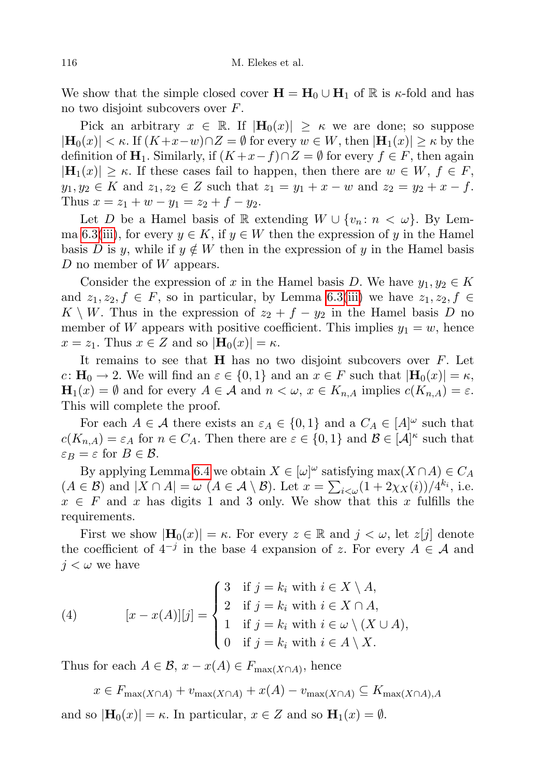We show that the simple closed cover  $\mathbf{H} = \mathbf{H}_0 \cup \mathbf{H}_1$  of  $\mathbb{R}$  is  $\kappa$ -fold and has no two disjoint subcovers over F.

Pick an arbitrary  $x \in \mathbb{R}$ . If  $|\mathbf{H}_{0}(x)| \geq \kappa$  we are done; so suppose  $|\mathbf{H}_0(x)| < \kappa$ . If  $(K+x-w) \cap Z = \emptyset$  for every  $w \in W$ , then  $|\mathbf{H}_1(x)| \geq \kappa$  by the definition of  $\mathbf{H}_1$ . Similarly, if  $(K+x-f)\cap Z=\emptyset$  for every  $f\in F$ , then again  $|\mathbf{H}_1(x)| \geq \kappa$ . If these cases fail to happen, then there are  $w \in W, f \in F$ ,  $y_1, y_2 \in K$  and  $z_1, z_2 \in Z$  such that  $z_1 = y_1 + x - w$  and  $z_2 = y_2 + x - f$ . Thus  $x = z_1 + w - y_1 = z_2 + f - y_2$ .

Let D be a Hamel basis of R extending  $W \cup \{v_n : n < \omega\}$ . By Lem-ma [6.3](#page-18-1)[\(iii\)](#page-19-3), for every  $y \in K$ , if  $y \in W$  then the expression of y in the Hamel basis D is y, while if  $y \notin W$  then in the expression of y in the Hamel basis D no member of W appears.

Consider the expression of x in the Hamel basis D. We have  $y_1, y_2 \in K$ and  $z_1, z_2, f \in F$ , so in particular, by Lemma [6.3\(](#page-18-1)[iii\)](#page-19-3) we have  $z_1, z_2, f \in$ K \ W. Thus in the expression of  $z_2 + f - y_2$  in the Hamel basis D no member of W appears with positive coefficient. This implies  $y_1 = w$ , hence  $x = z_1$ . Thus  $x \in Z$  and so  $|\mathbf{H}_0(x)| = \kappa$ .

It remains to see that  $H$  has no two disjoint subcovers over  $F$ . Let  $c: \mathbf{H}_0 \to 2$ . We will find an  $\varepsilon \in \{0,1\}$  and an  $x \in F$  such that  $|\mathbf{H}_0(x)| = \kappa$ ,  $\mathbf{H}_1(x) = \emptyset$  and for every  $A \in \mathcal{A}$  and  $n < \omega, x \in K_{n,A}$  implies  $c(K_{n,A}) = \varepsilon$ . This will complete the proof.

For each  $A \in \mathcal{A}$  there exists an  $\varepsilon_A \in \{0,1\}$  and a  $C_A \in [A]^\omega$  such that  $c(K_{n,A}) = \varepsilon_A$  for  $n \in C_A$ . Then there are  $\varepsilon \in \{0,1\}$  and  $\mathcal{B} \in [\mathcal{A}]^{\kappa}$  such that  $\varepsilon_B = \varepsilon$  for  $B \in \mathcal{B}$ .

By applying Lemma [6.4](#page-20-0) we obtain  $X \in [\omega]^\omega$  satisfying  $\max(X \cap A) \in C_A$  $(A \in \mathcal{B})$  and  $|X \cap A| = \omega$   $(A \in \mathcal{A} \setminus \mathcal{B})$ . Let  $x = \sum_{i < \omega} (1 + 2\chi_X(i))/4^{k_i}$ , i.e.  $x \in F$  and x has digits 1 and 3 only. We show that this x fulfills the requirements.

First we show  $|\mathbf{H}_0(x)| = \kappa$ . For every  $z \in \mathbb{R}$  and  $j < \omega$ , let  $z[j]$  denote the coefficient of  $4^{-j}$  in the base 4 expansion of z. For every  $A \in \mathcal{A}$  and  $j < \omega$  we have

<span id="page-21-0"></span>(4) 
$$
[x - x(A)][j] = \begin{cases} 3 & \text{if } j = k_i \text{ with } i \in X \setminus A, \\ 2 & \text{if } j = k_i \text{ with } i \in X \cap A, \\ 1 & \text{if } j = k_i \text{ with } i \in \omega \setminus (X \cup A), \\ 0 & \text{if } j = k_i \text{ with } i \in A \setminus X. \end{cases}
$$

Thus for each  $A \in \mathcal{B}$ ,  $x - x(A) \in F_{\max(X \cap A)}$ , hence

$$
x \in F_{\max(X \cap A)} + v_{\max(X \cap A)} + x(A) - v_{\max(X \cap A)} \subseteq K_{\max(X \cap A), A}
$$

and so  $|\mathbf{H}_0(x)| = \kappa$ . In particular,  $x \in Z$  and so  $\mathbf{H}_1(x) = \emptyset$ .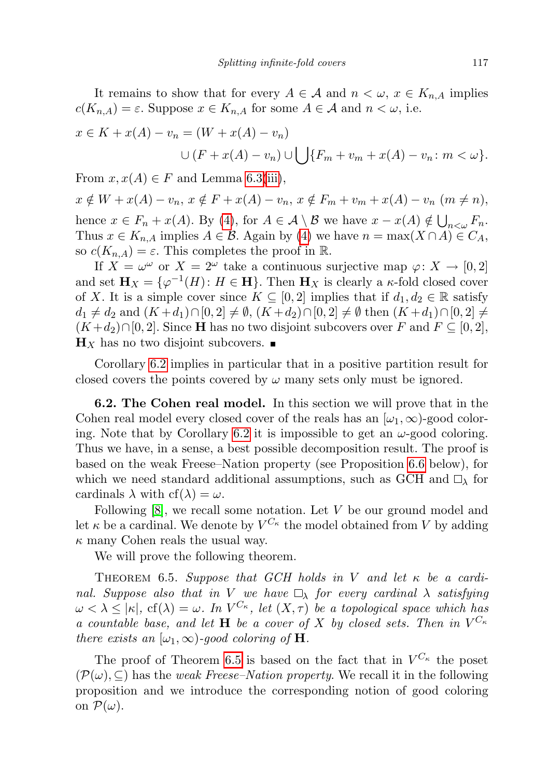It remains to show that for every  $A \in \mathcal{A}$  and  $n < \omega, x \in K_{n,A}$  implies  $c(K_{n,A}) = \varepsilon$ . Suppose  $x \in K_{n,A}$  for some  $A \in \mathcal{A}$  and  $n < \omega$ , i.e.

$$
x \in K + x(A) - v_n = (W + x(A) - v_n)
$$
  
 
$$
\cup (F + x(A) - v_n) \cup \bigcup \{F_m + v_m + x(A) - v_n : m < \omega\}.
$$

From  $x, x(A) \in F$  and Lemma [6.3\(](#page-18-1)[iii\)](#page-19-3),

 $x \notin W + x(A) - v_n, x \notin F + x(A) - v_n, x \notin F_m + v_m + x(A) - v_n \ (m \neq n),$ hence  $x \in F_n + x(A)$ . By [\(4\)](#page-21-0), for  $A \in \mathcal{A} \setminus \mathcal{B}$  we have  $x - x(A) \notin \bigcup_{n \leq \omega} F_n$ . Thus  $x \in K_{n,A}$  implies  $A \in \mathcal{B}$ . Again by [\(4\)](#page-21-0) we have  $n = \max(X \cap A) \in C_A$ , so  $c(K_{n,A}) = \varepsilon$ . This completes the proof in R.

If  $X = \omega^{\omega}$  or  $X = 2^{\omega}$  take a continuous surjective map  $\varphi \colon X \to [0, 2]$ and set  $\mathbf{H}_X = \{ \varphi^{-1}(H) : H \in \mathbf{H} \}$ . Then  $\mathbf{H}_X$  is clearly a  $\kappa$ -fold closed cover of X. It is a simple cover since  $K \subseteq [0,2]$  implies that if  $d_1, d_2 \in \mathbb{R}$  satisfy  $d_1 \neq d_2$  and  $(K + d_1) \cap [0, 2] \neq \emptyset$ ,  $(K + d_2) \cap [0, 2] \neq \emptyset$  then  $(K + d_1) \cap [0, 2] \neq$  $(K+d_2)\cap [0,2]$ . Since **H** has no two disjoint subcovers over F and  $F \subseteq [0,2]$ ,  $\mathbf{H}_X$  has no two disjoint subcovers.  $\blacksquare$ 

Corollary [6.2](#page-18-2) implies in particular that in a positive partition result for closed covers the points covered by  $\omega$  many sets only must be ignored.

6.2. The Cohen real model. In this section we will prove that in the Cohen real model every closed cover of the reals has an  $[\omega_1, \infty)$ -good color-ing. Note that by Corollary [6.2](#page-18-2) it is impossible to get an  $\omega$ -good coloring. Thus we have, in a sense, a best possible decomposition result. The proof is based on the weak Freese–Nation property (see Proposition [6.6](#page-22-1) below), for which we need standard additional assumptions, such as GCH and  $\Box_{\lambda}$  for cardinals  $\lambda$  with  $cf(\lambda) = \omega$ .

Following [\[8\]](#page-32-6), we recall some notation. Let V be our ground model and let  $\kappa$  be a cardinal. We denote by  $V^{C_{\kappa}}$  the model obtained from V by adding  $\kappa$  many Cohen reals the usual way.

We will prove the following theorem.

<span id="page-22-0"></span>THEOREM 6.5. Suppose that GCH holds in V and let  $\kappa$  be a cardinal. Suppose also that in V we have  $\Box_{\lambda}$  for every cardinal  $\lambda$  satisfying  $\omega < \lambda \leq |\kappa|$ , cf( $\lambda$ ) =  $\omega$ . In  $V^{C_{\kappa}}$ , let  $(X, \tau)$  be a topological space which has a countable base, and let **H** be a cover of X by closed sets. Then in  $V^{C_{\kappa}}$ there exists an  $[\omega_1, \infty)$ -good coloring of **H**.

<span id="page-22-1"></span>The proof of Theorem [6.5](#page-22-0) is based on the fact that in  $V^{C_{\kappa}}$  the poset  $(\mathcal{P}(\omega), \subseteq)$  has the *weak Freese–Nation property*. We recall it in the following proposition and we introduce the corresponding notion of good coloring on  $\mathcal{P}(\omega)$ .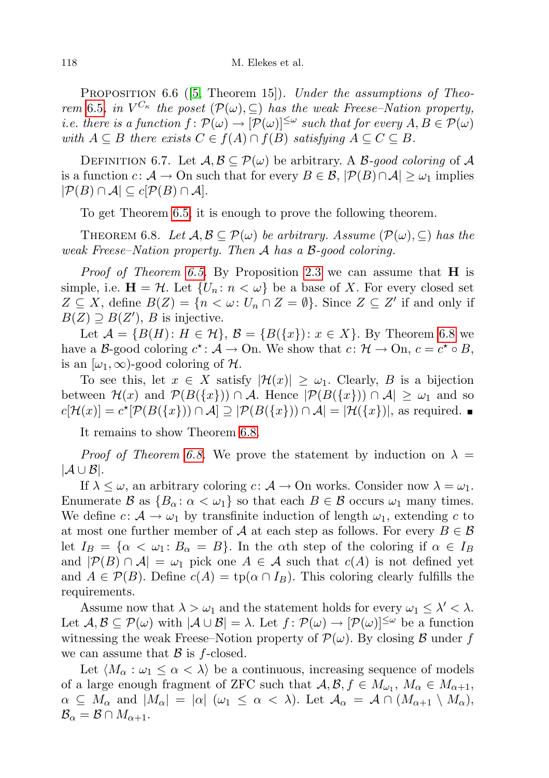PROPOSITION 6.6 ([\[5,](#page-32-13) Theorem 15]). Under the assumptions of Theo-rem [6](#page-22-0).5, in  $V^{C_{\kappa}}$  the poset  $(\mathcal{P}(\omega), \subseteq)$  has the weak Freese–Nation property, *i.e.* there is a function  $f: \mathcal{P}(\omega) \to [\mathcal{P}(\omega)]^{\leq \omega}$  such that for every  $A, B \in \mathcal{P}(\omega)$ with  $A \subseteq B$  there exists  $C \in f(A) \cap f(B)$  satisfying  $A \subseteq C \subseteq B$ .

DEFINITION 6.7. Let  $\mathcal{A}, \mathcal{B} \subseteq \mathcal{P}(\omega)$  be arbitrary. A  $\mathcal{B}\text{-good coloring of }\mathcal{A}$ is a function  $c: \mathcal{A} \to \mathcal{O}$  such that for every  $B \in \mathcal{B}, |\mathcal{P}(B) \cap \mathcal{A}| \geq \omega_1$  implies  $|\mathcal{P}(B) \cap \mathcal{A}| \subseteq c[\mathcal{P}(B) \cap \mathcal{A}].$ 

To get Theorem [6.5,](#page-22-0) it is enough to prove the following theorem.

<span id="page-23-0"></span>THEOREM 6.8. Let  $\mathcal{A}, \mathcal{B} \subseteq \mathcal{P}(\omega)$  be arbitrary. Assume  $(\mathcal{P}(\omega), \subseteq)$  has the weak Freese–Nation property. Then A has a B-good coloring.

*Proof of Theorem [6.5.](#page-22-0)* By Proposition [2.3](#page-3-1) we can assume that  $H$  is simple, i.e.  $\mathbf{H} = \mathcal{H}$ . Let  $\{U_n : n < \omega\}$  be a base of X. For every closed set  $Z \subseteq X$ , define  $B(Z) = \{n < \omega : U_n \cap Z = \emptyset\}$ . Since  $Z \subseteq Z'$  if and only if  $B(Z) \supseteq B(Z')$ , B is injective.

Let  $\mathcal{A} = \{B(H): H \in \mathcal{H}\}, \mathcal{B} = \{B(\{x\}): x \in X\}.$  By Theorem [6.8](#page-23-0) we have a B-good coloring  $c^*$ :  $\mathcal{A} \to \text{On}$ . We show that  $c: \mathcal{H} \to \text{On}$ ,  $c = c^* \circ B$ , is an  $[\omega_1,\infty)$ -good coloring of H.

To see this, let  $x \in X$  satisfy  $|\mathcal{H}(x)| \geq \omega_1$ . Clearly, B is a bijection between  $\mathcal{H}(x)$  and  $\mathcal{P}(B({x})) \cap \mathcal{A}$ . Hence  $|\mathcal{P}(B({x})) \cap \mathcal{A}| \geq \omega_1$  and so  $c[\mathcal{H}(x)] = c^*[\mathcal{P}(B(\lbrace x \rbrace)) \cap \mathcal{A}] \supseteq |\mathcal{P}(B(\lbrace x \rbrace)) \cap \mathcal{A}| = |\mathcal{H}(\lbrace x \rbrace)|$ , as required.

It remains to show Theorem [6.8.](#page-23-0)

*Proof of Theorem [6.8.](#page-23-0)* We prove the statement by induction on  $\lambda =$  $|\mathcal{A} \cup \mathcal{B}|.$ 

If  $\lambda \leq \omega$ , an arbitrary coloring  $c: \mathcal{A} \to \Omega$  works. Consider now  $\lambda = \omega_1$ . Enumerate B as  $\{B_\alpha : \alpha < \omega_1\}$  so that each  $B \in \mathcal{B}$  occurs  $\omega_1$  many times. We define  $c: \mathcal{A} \to \omega_1$  by transfinite induction of length  $\omega_1$ , extending c to at most one further member of A at each step as follows. For every  $B \in \mathcal{B}$ let  $I_B = \{\alpha < \omega_1 : B_\alpha = B\}$ . In the  $\alpha$ th step of the coloring if  $\alpha \in I_B$ and  $|\mathcal{P}(B) \cap \mathcal{A}| = \omega_1$  pick one  $A \in \mathcal{A}$  such that  $c(A)$  is not defined yet and  $A \in \mathcal{P}(B)$ . Define  $c(A) = \text{tp}(\alpha \cap I_B)$ . This coloring clearly fulfills the requirements.

Assume now that  $\lambda > \omega_1$  and the statement holds for every  $\omega_1 \leq \lambda' < \lambda$ . Let  $\mathcal{A}, \mathcal{B} \subseteq \mathcal{P}(\omega)$  with  $|\mathcal{A} \cup \mathcal{B}| = \lambda$ . Let  $f : \mathcal{P}(\omega) \to [\mathcal{P}(\omega)]^{\leq \omega}$  be a function witnessing the weak Freese–Notion property of  $\mathcal{P}(\omega)$ . By closing B under f we can assume that  $\beta$  is f-closed.

Let  $\langle M_{\alpha} : \omega_1 \leq \alpha < \lambda \rangle$  be a continuous, increasing sequence of models of a large enough fragment of ZFC such that  $A, B, f \in M_{\omega_1}, M_\alpha \in M_{\alpha+1},$  $\alpha \subseteq M_\alpha$  and  $|M_\alpha| = |\alpha| \ (\omega_1 \leq \alpha \ < \lambda)$ . Let  $\mathcal{A}_\alpha = \mathcal{A} \cap (M_{\alpha+1} \setminus M_\alpha)$ ,  $\mathcal{B}_{\alpha} = \mathcal{B} \cap M_{\alpha+1}.$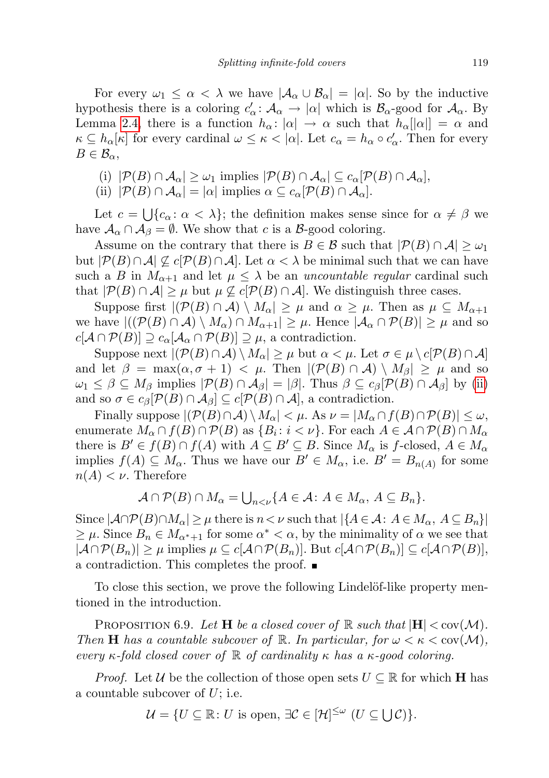For every  $\omega_1 \leq \alpha < \lambda$  we have  $|\mathcal{A}_{\alpha} \cup \mathcal{B}_{\alpha}| = |\alpha|$ . So by the inductive hypothesis there is a coloring  $c'_\n\alpha: \mathcal{A}_\alpha \to |\alpha|$  which is  $\mathcal{B}_\alpha$ -good for  $\mathcal{A}_\alpha$ . By Lemma [2.4,](#page-4-0) there is a function  $h_{\alpha}: |\alpha| \to \alpha$  such that  $h_{\alpha}||\alpha|| = \alpha$  and  $\kappa \subseteq h_\alpha[\kappa]$  for every cardinal  $\omega \leq \kappa < |\alpha|$ . Let  $c_\alpha = h_\alpha \circ c'_\alpha$ . Then for every  $B \in \mathcal{B}_{\alpha}$ ,

- (i)  $|\mathcal{P}(B) \cap \mathcal{A}_{\alpha}| \geq \omega_1$  implies  $|\mathcal{P}(B) \cap \mathcal{A}_{\alpha}| \subseteq c_{\alpha}[\mathcal{P}(B) \cap \mathcal{A}_{\alpha}],$
- <span id="page-24-1"></span>(ii)  $|\mathcal{P}(B) \cap \mathcal{A}_{\alpha}| = |\alpha|$  implies  $\alpha \subseteq c_{\alpha}|\mathcal{P}(B) \cap \mathcal{A}_{\alpha}|$ .

Let  $c = \bigcup \{c_{\alpha} : \alpha < \lambda\}$ ; the definition makes sense since for  $\alpha \neq \beta$  we have  $\mathcal{A}_{\alpha} \cap \mathcal{A}_{\beta} = \emptyset$ . We show that c is a B-good coloring.

Assume on the contrary that there is  $B \in \mathcal{B}$  such that  $|\mathcal{P}(B) \cap \mathcal{A}| \geq \omega_1$ but  $\mathcal{P}(B) \cap \mathcal{A} \not\subseteq c[\mathcal{P}(B) \cap \mathcal{A}]$ . Let  $\alpha < \lambda$  be minimal such that we can have such a B in  $M_{\alpha+1}$  and let  $\mu \leq \lambda$  be an uncountable regular cardinal such that  $|\mathcal{P}(B) \cap \mathcal{A}| \geq \mu$  but  $\mu \not\subseteq c[\mathcal{P}(B) \cap \mathcal{A}]$ . We distinguish three cases.

Suppose first  $|({\cal P}(B) \cap A) \setminus M_{\alpha}| \geq \mu$  and  $\alpha \geq \mu$ . Then as  $\mu \subseteq M_{\alpha+1}$ we have  $|((\mathcal{P}(B) \cap \mathcal{A}) \setminus M_\alpha) \cap M_{\alpha+1}| \geq \mu$ . Hence  $|\mathcal{A}_\alpha \cap \mathcal{P}(B)| \geq \mu$  and so  $c[\mathcal{A} \cap \mathcal{P}(B)] \supseteq c_{\alpha}[\mathcal{A}_{\alpha} \cap \mathcal{P}(B)] \supseteq \mu$ , a contradiction.

Suppose next  $|(\mathcal{P}(B) \cap \mathcal{A}) \setminus M_{\alpha}| \geq \mu$  but  $\alpha < \mu$ . Let  $\sigma \in \mu \setminus c[\mathcal{P}(B) \cap \mathcal{A}]$ and let  $\beta = \max(\alpha, \sigma + 1) < \mu$ . Then  $|(\mathcal{P}(B) \cap \mathcal{A}) \setminus M_{\beta}| \geq \mu$  and so  $\omega_1 \leq \beta \subseteq M_\beta$  implies  $|\mathcal{P}(B) \cap \mathcal{A}_\beta| = |\beta|$ . Thus  $\beta \subseteq c_\beta[\mathcal{P}(B) \cap \mathcal{A}_\beta]$  by [\(ii\)](#page-24-1) and so  $\sigma \in c_{\beta}[\mathcal{P}(B) \cap \mathcal{A}_{\beta}] \subseteq c[\mathcal{P}(B) \cap \mathcal{A}],$  a contradiction.

Finally suppose  $|(\mathcal{P}(B) \cap \mathcal{A}) \setminus M_\alpha| < \mu$ . As  $\nu = |M_\alpha \cap f(B) \cap \mathcal{P}(B)| \leq \omega$ , enumerate  $M_{\alpha} \cap f(B) \cap \mathcal{P}(B)$  as  $\{B_i : i < \nu\}$ . For each  $A \in \mathcal{A} \cap \mathcal{P}(B) \cap M_{\alpha}$ there is  $B' \in f(B) \cap f(A)$  with  $A \subseteq B' \subseteq B$ . Since  $M_{\alpha}$  is f-closed,  $A \in M_{\alpha}$ implies  $f(A) \subseteq M_\alpha$ . Thus we have our  $B' \in M_\alpha$ , i.e.  $B' = B_{n(A)}$  for some  $n(A) < \nu$ . Therefore

$$
\mathcal{A} \cap \mathcal{P}(B) \cap M_{\alpha} = \bigcup_{n < \nu} \{ A \in \mathcal{A} \colon A \in M_{\alpha}, A \subseteq B_n \}.
$$

Since  $|\mathcal{A}\cap\mathcal{P}(B)\cap M_{\alpha}|\geq\mu$  there is  $n<\nu$  such that  $|\{A\in\mathcal{A}:A\in M_{\alpha},A\subseteq B_{n}\}|$  $\geq \mu$ . Since  $B_n \in M_{\alpha^*+1}$  for some  $\alpha^* < \alpha$ , by the minimality of  $\alpha$  we see that  $|\mathcal{A}\cap \mathcal{P}(B_n)| \geq \mu$  implies  $\mu \subseteq c[\mathcal{A}\cap \mathcal{P}(B_n)]$ . But  $c[\mathcal{A}\cap \mathcal{P}(B_n)] \subseteq c[\mathcal{A}\cap \mathcal{P}(B)]$ , a contradiction. This completes the proof.

To close this section, we prove the following Lindelöf-like property mentioned in the introduction.

<span id="page-24-0"></span>PROPOSITION 6.9. Let **H** be a closed cover of  $\mathbb{R}$  such that  $|\mathbf{H}| < \text{cov}(\mathcal{M})$ . Then **H** has a countable subcover of  $\mathbb{R}$ . In particular, for  $\omega < \kappa < \text{cov}(\mathcal{M})$ , every  $\kappa$ -fold closed cover of  $\mathbb R$  of cardinality  $\kappa$  has a  $\kappa$ -good coloring.

*Proof.* Let U be the collection of those open sets  $U \subseteq \mathbb{R}$  for which **H** has a countable subcover of  $U$ ; i.e.

$$
\mathcal{U} = \{ U \subseteq \mathbb{R} : U \text{ is open, } \exists \mathcal{C} \in [\mathcal{H}]^{\leq \omega} \ (U \subseteq \bigcup \mathcal{C}) \}.
$$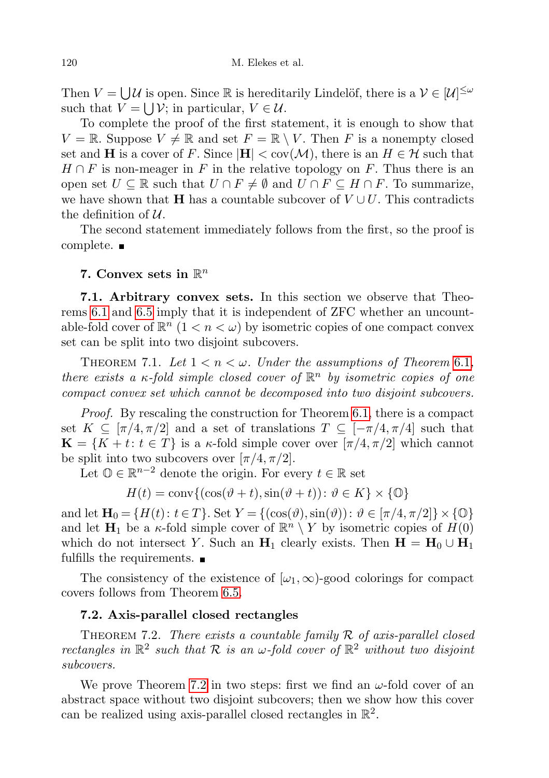Then  $V = \bigcup \mathcal{U}$  is open. Since R is hereditarily Lindelöf, there is a  $V \in [\mathcal{U}]^{\leq \omega}$ such that  $V = \bigcup \mathcal{V}$ ; in particular,  $V \in \mathcal{U}$ .

To complete the proof of the first statement, it is enough to show that  $V = \mathbb{R}$ . Suppose  $V \neq \mathbb{R}$  and set  $F = \mathbb{R} \setminus V$ . Then F is a nonempty closed set and **H** is a cover of F. Since  $|\mathbf{H}| < \text{cov}(\mathcal{M})$ , there is an  $H \in \mathcal{H}$  such that  $H \cap F$  is non-meager in F in the relative topology on F. Thus there is an open set  $U \subseteq \mathbb{R}$  such that  $U \cap F \neq \emptyset$  and  $U \cap F \subseteq H \cap F$ . To summarize, we have shown that H has a countable subcover of  $V \cup U$ . This contradicts the definition of  $\mathcal{U}$ .

The second statement immediately follows from the first, so the proof is complete.

# <span id="page-25-0"></span>7. Convex sets in  $\mathbb{R}^n$

7.1. Arbitrary convex sets. In this section we observe that Theorems [6.1](#page-18-0) and [6.5](#page-22-0) imply that it is independent of ZFC whether an uncountable-fold cover of  $\mathbb{R}^n$   $(1 \lt n \lt \omega)$  by isometric copies of one compact convex set can be split into two disjoint subcovers.

THEOREM 7.1. Let  $1 < n < \omega$ . Under the assumptions of Theorem [6](#page-18-0).1, there exists a  $\kappa$ -fold simple closed cover of  $\mathbb{R}^n$  by isometric copies of one compact convex set which cannot be decomposed into two disjoint subcovers.

Proof. By rescaling the construction for Theorem [6.1,](#page-18-0) there is a compact set  $K \subseteq [\pi/4, \pi/2]$  and a set of translations  $T \subseteq [-\pi/4, \pi/4]$  such that  $\mathbf{K} = \{K + t : t \in T\}$  is a  $\kappa$ -fold simple cover over  $[\pi/4, \pi/2]$  which cannot be split into two subcovers over  $[\pi/4, \pi/2]$ .

Let  $\mathbb{O} \in \mathbb{R}^{n-2}$  denote the origin. For every  $t \in \mathbb{R}$  set

$$
H(t) = \text{conv}\{(\cos(\vartheta + t), \sin(\vartheta + t)) : \vartheta \in K\} \times \{\mathbb{O}\}\
$$

and let  $\mathbf{H}_0 = \{H(t): t \in T\}$ . Set  $Y = \{(\cos(\vartheta), \sin(\vartheta)):\vartheta \in [\pi/4, \pi/2]\}\times\{\mathbb{O}\}\$ and let  $H_1$  be a  $\kappa$ -fold simple cover of  $\mathbb{R}^n \setminus Y$  by isometric copies of  $H(0)$ which do not intersect Y. Such an  $H_1$  clearly exists. Then  $H = H_0 \cup H_1$ fulfills the requirements.

The consistency of the existence of  $[\omega_1, \infty)$ -good colorings for compact covers follows from Theorem [6.5.](#page-22-0)

### 7.2. Axis-parallel closed rectangles

<span id="page-25-1"></span>THEOREM 7.2. There exists a countable family  $R$  of axis-parallel closed rectangles in  $\mathbb{R}^2$  such that R is an  $\omega$ -fold cover of  $\mathbb{R}^2$  without two disjoint subcovers.

We prove Theorem [7.2](#page-25-1) in two steps: first we find an  $\omega$ -fold cover of an abstract space without two disjoint subcovers; then we show how this cover can be realized using axis-parallel closed rectangles in  $\mathbb{R}^2$ .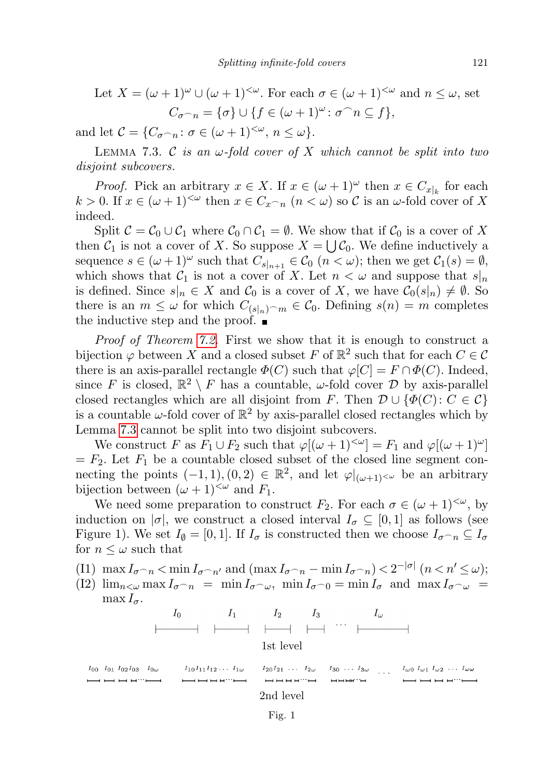Let 
$$
X = (\omega + 1)^{\omega} \cup (\omega + 1)^{<\omega}
$$
. For each  $\sigma \in (\omega + 1)^{<\omega}$  and  $n \leq \omega$ , set  

$$
C_{\sigma \cap n} = {\sigma} \cup \{ f \in (\omega + 1)^{\omega} : \sigma \cap n \subseteq f \},
$$

and let  $\mathcal{C} = \{C_{\sigma \cap n} : \sigma \in (\omega + 1)^{<\omega}, n \leq \omega\}.$ 

<span id="page-26-0"></span>LEMMA 7.3. C is an  $\omega$ -fold cover of X which cannot be split into two disjoint subcovers.

*Proof.* Pick an arbitrary  $x \in X$ . If  $x \in (\omega + 1)^{\omega}$  then  $x \in C_{x|_k}$  for each  $k > 0$ . If  $x \in (\omega + 1)^{<\omega}$  then  $x \in C_{x \cap n}$   $(n < \omega)$  so C is an  $\omega$ -fold cover of X indeed.

Split  $C = C_0 \cup C_1$  where  $C_0 \cap C_1 = \emptyset$ . We show that if  $C_0$  is a cover of X then  $C_1$  is not a cover of X. So suppose  $X = \bigcup C_0$ . We define inductively a sequence  $s \in (\omega + 1)^\omega$  such that  $C_{s|_{n+1}} \in \mathcal{C}_0$   $(n < \omega)$ ; then we get  $\mathcal{C}_1(s) = \emptyset$ , which shows that  $\mathcal{C}_1$  is not a cover of X. Let  $n < \omega$  and suppose that  $s|_n$ is defined. Since  $s|_n \in X$  and  $\mathcal{C}_0$  is a cover of X, we have  $\mathcal{C}_0(s|_n) \neq \emptyset$ . So there is an  $m \leq \omega$  for which  $C_{(s|_n)\cap m} \in \mathcal{C}_0$ . Defining  $s(n) = m$  completes the inductive step and the proof.  $\blacksquare$ 

Proof of Theorem [7.2.](#page-25-1) First we show that it is enough to construct a bijection  $\varphi$  between X and a closed subset F of  $\mathbb{R}^2$  such that for each  $C \in \mathcal{C}$ there is an axis-parallel rectangle  $\Phi(C)$  such that  $\varphi[C] = F \cap \Phi(C)$ . Indeed, since F is closed,  $\mathbb{R}^2 \setminus F$  has a countable,  $\omega$ -fold cover D by axis-parallel closed rectangles which are all disjoint from F. Then  $\mathcal{D} \cup \{ \Phi(C) : C \in \mathcal{C} \}$ is a countable  $\omega$ -fold cover of  $\mathbb{R}^2$  by axis-parallel closed rectangles which by Lemma [7.3](#page-26-0) cannot be split into two disjoint subcovers.

We construct F as  $F_1 \cup F_2$  such that  $\varphi[(\omega + 1)^{<\omega}] = F_1$  and  $\varphi[(\omega + 1)^{\omega}]$  $= F_2$ . Let  $F_1$  be a countable closed subset of the closed line segment connecting the points  $(-1,1)$ ,  $(0,2) \in \mathbb{R}^2$ , and let  $\varphi|_{(\omega+1)^{<\omega}}$  be an arbitrary bijection between  $(\omega + 1)^{<\omega}$  and  $F_1$ .

We need some preparation to construct  $F_2$ . For each  $\sigma \in (\omega + 1)^{<\omega}$ , by induction on  $|\sigma|$ , we construct a closed interval  $I_{\sigma} \subseteq [0,1]$  as follows (see Figure 1). We set  $I_\emptyset = [0, 1]$ . If  $I_\sigma$  is constructed then we choose  $I_{\sigma \cap n} \subseteq I_\sigma$ for  $n \leq \omega$  such that

(I1) max  $I_{\sigma \cap n} < \min I_{\sigma \cap n'}$  and  $(\max I_{\sigma \cap n} - \min I_{\sigma \cap n}) < 2^{-|\sigma|}$   $(n < n' \leq \omega);$ 

(I2)  $\lim_{n\leq\omega} \max I_{\sigma^{\frown}n} = \min I_{\sigma^{\frown}\omega}, \min I_{\sigma^{\frown}0} = \min I_{\sigma}$  and  $\max I_{\sigma^{\frown}\omega} =$  $\max I_{\sigma}$ .

1st level

|  |           | $I_{00} \quad I_{01} \quad I_{02} I_{03} \quad I_{0\omega} \qquad \qquad I_{10} I_{11} I_{12} \ldots \quad I_{1\omega} \qquad \qquad I_{20} I_{21} \qquad \ldots \qquad I_{2\omega} \qquad \qquad I_{30} \qquad \ldots \qquad \qquad I_{3\omega} \qquad \qquad I_{\omega} 0 \quad I_{\omega} 1 \quad I_{\omega} 2 \qquad \ldots \qquad I_{\omega} \omega$ |
|--|-----------|-----------------------------------------------------------------------------------------------------------------------------------------------------------------------------------------------------------------------------------------------------------------------------------------------------------------------------------------------------------|
|  |           |                                                                                                                                                                                                                                                                                                                                                           |
|  | 2nd level |                                                                                                                                                                                                                                                                                                                                                           |

Fig. 1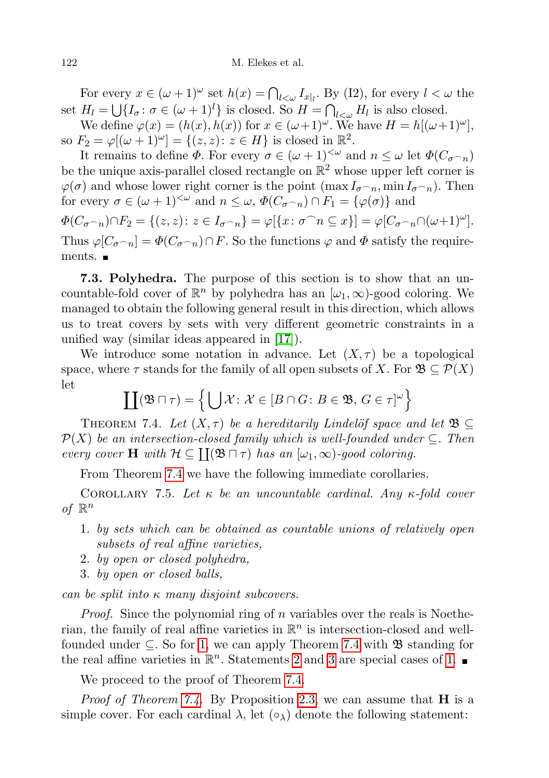For every  $x \in (\omega + 1)^\omega$  set  $h(x) = \bigcap_{l < \omega} I_{x|l}$ . By (I2), for every  $l < \omega$  the set  $H_l = \bigcup \{ I_{\sigma} : \sigma \in (\omega + 1)^l \}$  is closed. So  $H = \bigcap_{l < \omega} H_l$  is also closed.

We define  $\varphi(x) = (h(x), h(x))$  for  $x \in (\omega + 1)^{\omega}$ . We have  $H = h[(\omega + 1)^{\omega}],$ so  $F_2 = \varphi[(\omega + 1)^{\omega}] = \{(z, z) : z \in H\}$  is closed in  $\mathbb{R}^2$ .

It remains to define  $\Phi$ . For every  $\sigma \in (\omega + 1)^{<\omega}$  and  $n \leq \omega$  let  $\Phi(C_{\sigma \cap n})$ be the unique axis-parallel closed rectangle on  $\mathbb{R}^2$  whose upper left corner is  $\varphi(\sigma)$  and whose lower right corner is the point  $(\max I_{\sigma\cap n}, \min I_{\sigma\cap n})$ . Then for every  $\sigma \in (\omega + 1)^{<\omega}$  and  $n \leq \omega$ ,  $\Phi(C_{\sigma \cap n}) \cap F_1 = {\varphi(\sigma)}$  and

 $\Phi(C_{\sigma \cap n}) \cap F_2 = \{(z, z) \colon z \in I_{\sigma \cap n}\} = \varphi[\{x \colon \sigma \cap n \subseteq x\}] = \varphi[C_{\sigma \cap n} \cap (\omega + 1)^{\omega}].$ Thus  $\varphi[C_{\sigma^{\frown} n}] = \Phi(C_{\sigma^{\frown} n}) \cap F$ . So the functions  $\varphi$  and  $\Phi$  satisfy the requirements. ■

7.3. Polyhedra. The purpose of this section is to show that an uncountable-fold cover of  $\mathbb{R}^n$  by polyhedra has an  $[\omega_1,\infty)$ -good coloring. We managed to obtain the following general result in this direction, which allows us to treat covers by sets with very different geometric constraints in a unified way (similar ideas appeared in [\[17\]](#page-32-14)).

We introduce some notation in advance. Let  $(X, \tau)$  be a topological space, where  $\tau$  stands for the family of all open subsets of X. For  $\mathfrak{B} \subseteq \mathcal{P}(X)$ let

$$
\prod(\mathfrak{B}\sqcap\tau)=\left\{\bigcup\mathcal{X}\colon\mathcal{X}\in[B\cap G\colon B\in\mathfrak{B},\,G\in\tau]^\omega\right\}
$$

<span id="page-27-0"></span>THEOREM 7.4. Let  $(X, \tau)$  be a hereditarily Lindelöf space and let  $\mathfrak{B} \subseteq$  $\mathcal{P}(X)$  be an intersection-closed family which is well-founded under  $\subseteq$ . Then every cover **H** with  $\mathcal{H} \subseteq \Pi(\mathfrak{B} \sqcap \tau)$  has an  $[\omega_1, \infty)$ -good coloring.

From Theorem [7.4](#page-27-0) we have the following immediate corollaries.

COROLLARY 7.5. Let  $\kappa$  be an uncountable cardinal. Any  $\kappa$ -fold cover of  $\mathbb{R}^n$ 

- <span id="page-27-1"></span>1. by sets which can be obtained as countable unions of relatively open subsets of real affine varieties,
- <span id="page-27-2"></span>2. by open or closed polyhedra,
- <span id="page-27-3"></span>3. by open or closed balls,

can be split into  $\kappa$  many disjoint subcovers.

*Proof.* Since the polynomial ring of  $n$  variables over the reals is Noetherian, the family of real affine varieties in  $\mathbb{R}^n$  is intersection-closed and wellfounded under  $\subseteq$ . So for [1,](#page-27-1) we can apply Theorem [7.4](#page-27-0) with  $\mathfrak{B}$  standing for the real affine varieties in  $\mathbb{R}^n$ . Statements [2](#page-27-2) and [3](#page-27-3) are special cases of [1.](#page-27-1)

We proceed to the proof of Theorem [7.4.](#page-27-0)

*Proof of Theorem [7.4.](#page-27-0)* By Proposition [2.3,](#page-3-1) we can assume that **H** is a simple cover. For each cardinal  $\lambda$ , let  $(\circ_{\lambda})$  denote the following statement: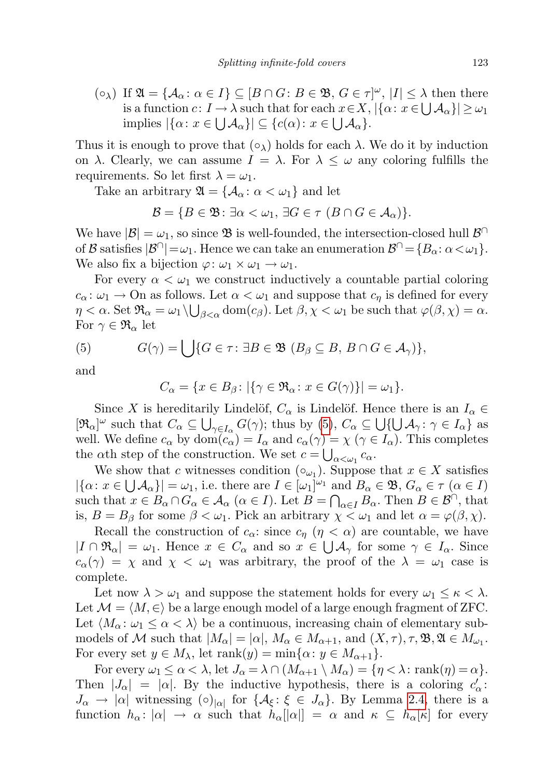(o<sub>λ</sub>) If  $\mathfrak{A} = \{ \mathcal{A}_{\alpha} : \alpha \in I \} \subseteq [B \cap G : B \in \mathfrak{B}, G \in \tau]^{\omega}, |I| \leq \lambda$  then there is a function  $c\colon I\,{\to}\,\lambda$  such that for each  $x\,{\in}\,X,$   $|\{\alpha\colon x\,{\in}\, \bigcup {\mathcal A}_\alpha\}|\geq\omega_1$ implies  $|\{\alpha: x \in \bigcup \mathcal{A}_{\alpha}\}| \subseteq \{c(\alpha): x \in \bigcup \mathcal{A}_{\alpha}\}.$ 

Thus it is enough to prove that  $(\circ_{\lambda})$  holds for each  $\lambda$ . We do it by induction on  $\lambda$ . Clearly, we can assume  $I = \lambda$ . For  $\lambda \leq \omega$  any coloring fulfills the requirements. So let first  $\lambda = \omega_1$ .

Take an arbitrary  $\mathfrak{A} = \{ \mathcal{A}_{\alpha} : \alpha < \omega_1 \}$  and let

$$
\mathcal{B} = \{ B \in \mathfrak{B} \colon \exists \alpha < \omega_1, \, \exists G \in \tau \, (B \cap G \in \mathcal{A}_{\alpha}) \}.
$$

We have  $|\mathcal{B}| = \omega_1$ , so since **B** is well-founded, the intersection-closed hull  $\mathcal{B}^{\cap}$ of B satisfies  $|\mathcal{B}^{\cap}| = \omega_1$ . Hence we can take an enumeration  $\mathcal{B}^{\cap} = \{B_{\alpha}: \alpha < \omega_1\}.$ We also fix a bijection  $\varphi: \omega_1 \times \omega_1 \to \omega_1$ .

For every  $\alpha < \omega_1$  we construct inductively a countable partial coloring  $c_{\alpha} : \omega_1 \to \text{On as follows.}$  Let  $\alpha < \omega_1$  and suppose that  $c_{\eta}$  is defined for every  $\eta < \alpha$ . Set  $\Re_{\alpha} = \omega_1 \setminus \bigcup_{\beta < \alpha} \text{dom}(c_{\beta})$ . Let  $\beta, \chi < \omega_1$  be such that  $\varphi(\beta, \chi) = \alpha$ . For  $\gamma \in \mathfrak{R}_{\alpha}$  let

(5) 
$$
G(\gamma) = \bigcup \{ G \in \tau : \exists B \in \mathfrak{B} \ (B_{\beta} \subseteq B, \ B \cap G \in \mathcal{A}_{\gamma}) \},
$$

and

<span id="page-28-0"></span>
$$
C_{\alpha} = \{ x \in B_{\beta} \colon |\{ \gamma \in \Re_{\alpha} \colon x \in G(\gamma) \}| = \omega_1 \}.
$$

Since X is hereditarily Lindelöf,  $C_{\alpha}$  is Lindelöf. Hence there is an  $I_{\alpha} \in$  $[\mathfrak{R}_{\alpha}]^{\omega}$  such that  $C_{\alpha} \subseteq \bigcup_{\gamma \in I_{\alpha}} G(\gamma)$ ; thus by  $(5), C_{\alpha} \subseteq \bigcup \{ \bigcup \mathcal{A}_{\gamma} : \gamma \in I_{\alpha} \}$  $(5), C_{\alpha} \subseteq \bigcup \{ \bigcup \mathcal{A}_{\gamma} : \gamma \in I_{\alpha} \}$  as well. We define  $c_{\alpha}$  by  $\text{dom}(c_{\alpha}) = I_{\alpha}$  and  $c_{\alpha}(\gamma) = \chi (\gamma \in I_{\alpha})$ . This completes the  $\alpha$ th step of the construction. We set  $c = \bigcup_{\alpha < \omega_1} c_{\alpha}$ .

We show that c witnesses condition  $(\circ_{\omega_1})$ . Suppose that  $x \in X$  satisfies  $|\{\alpha: x \in \bigcup \mathcal{A}_{\alpha}\}| = \omega_1$ , i.e. there are  $I \in [\omega_1]^{\omega_1}$  and  $B_{\alpha} \in \mathfrak{B}, G_{\alpha} \in \tau \ (\alpha \in I)$ such that  $x \in B_\alpha \cap G_\alpha \in \mathcal{A}_\alpha$   $(\alpha \in I)$ . Let  $B = \bigcap_{\alpha \in I} B_\alpha$ . Then  $B \in \mathcal{B}^\cap$ , that is,  $B = B_\beta$  for some  $\beta < \omega_1$ . Pick an arbitrary  $\chi < \omega_1$  and let  $\alpha = \varphi(\beta, \chi)$ .

Recall the construction of  $c_{\alpha}$ : since  $c_{\eta}$  ( $\eta < \alpha$ ) are countable, we have  $|I \cap \Re_{\alpha}| = \omega_1$ . Hence  $x \in C_{\alpha}$  and so  $x \in \bigcup \mathcal{A}_{\gamma}$  for some  $\gamma \in I_{\alpha}$ . Since  $c_{\alpha}(\gamma) = \chi$  and  $\chi < \omega_1$  was arbitrary, the proof of the  $\lambda = \omega_1$  case is complete.

Let now  $\lambda > \omega_1$  and suppose the statement holds for every  $\omega_1 \leq \kappa < \lambda$ . Let  $\mathcal{M} = \langle M, \in \rangle$  be a large enough model of a large enough fragment of ZFC. Let  $\langle M_{\alpha} : \omega_1 \leq \alpha < \lambda \rangle$  be a continuous, increasing chain of elementary submodels of M such that  $|M_{\alpha}| = |\alpha|, M_{\alpha} \in M_{\alpha+1}$ , and  $(X, \tau), \tau, \mathfrak{B}, \mathfrak{A} \in M_{\omega_1}$ . For every set  $y \in M_{\lambda}$ , let  $\text{rank}(y) = \min\{\alpha : y \in M_{\alpha+1}\}.$ 

For every  $\omega_1 \leq \alpha < \lambda$ , let  $J_\alpha = \lambda \cap (M_{\alpha+1} \setminus M_\alpha) = \{ \eta < \lambda : \text{rank}(\eta) = \alpha \}.$ Then  $|J_{\alpha}| = |\alpha|$ . By the inductive hypothesis, there is a coloring  $c'_{\alpha}$ :  $J_{\alpha} \to |\alpha|$  witnessing  $(\circ)_{|\alpha|}$  for  $\{\mathcal{A}_{\xi} : \xi \in J_{\alpha}\}\$ . By Lemma [2.4,](#page-4-0) there is a function  $h_{\alpha} : |\alpha| \to \alpha$  such that  $h_{\alpha}||\alpha|| = \alpha$  and  $\kappa \subseteq h_{\alpha}[\kappa]$  for every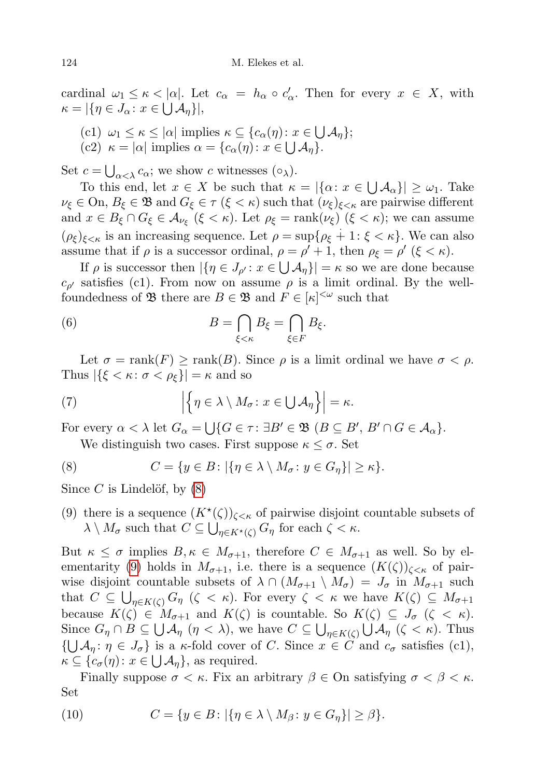cardinal  $\omega_1 \leq \kappa < |\alpha|$ . Let  $c_{\alpha} = h_{\alpha} \circ c_{\alpha}'$ . Then for every  $x \in X$ , with  $\kappa = |\{\eta \in J_\alpha : x \in \bigcup \mathcal{A}_\eta\}|,$ 

(c1) 
$$
\omega_1 \le \kappa \le |\alpha|
$$
 implies  $\kappa \subseteq \{c_\alpha(\eta): x \in \bigcup \mathcal{A}_\eta\};$   
(c2)  $\kappa = |\alpha|$  implies  $\alpha = \{c_\alpha(\eta): x \in \bigcup \mathcal{A}_\eta\}.$ 

Set  $c = \bigcup_{\alpha < \lambda} c_{\alpha}$ ; we show c witnesses  $(\circ_{\lambda})$ .

To this end, let  $x \in X$  be such that  $\kappa = |\{\alpha : x \in \bigcup \mathcal{A}_{\alpha}\}| \geq \omega_1$ . Take  $\nu_{\xi} \in \text{On}, B_{\xi} \in \mathfrak{B}$  and  $G_{\xi} \in \tau$  ( $\xi < \kappa$ ) such that  $(\nu_{\xi})_{\xi < \kappa}$  are pairwise different and  $x \in B_{\xi} \cap G_{\xi} \in \mathcal{A}_{\nu_{\xi}} \ (\xi \leq \kappa)$ . Let  $\rho_{\xi} = \text{rank}(\nu_{\xi}) \ (\xi \leq \kappa)$ ; we can assume  $(\rho_{\xi})_{\xi < \kappa}$  is an increasing sequence. Let  $\rho = \sup \{\rho_{\xi} + 1 : \xi < \kappa\}$ . We can also assume that if  $\rho$  is a successor ordinal,  $\rho = \rho' + 1$ , then  $\rho_{\xi} = \rho'$  ( $\xi < \kappa$ ).

If  $\rho$  is successor then  $|\{\eta \in J_{\rho'} : x \in \bigcup \mathcal{A}_{\eta}\}| = \kappa$  so we are done because  $c_{\rho'}$  satisfies (c1). From now on assume  $\rho$  is a limit ordinal. By the wellfoundedness of **B** there are  $B \in \mathfrak{B}$  and  $F \in [\kappa]^{<\omega}$  such that

(6) 
$$
B = \bigcap_{\xi < \kappa} B_{\xi} = \bigcap_{\xi \in F} B_{\xi}.
$$

Let  $\sigma = \text{rank}(F) \ge \text{rank}(B)$ . Since  $\rho$  is a limit ordinal we have  $\sigma < \rho$ . Thus  $|\{\xi < \kappa : \sigma < \rho_{\xi}\}| = \kappa$  and so

(7) 
$$
\left| \left\{ \eta \in \lambda \setminus M_{\sigma} : x \in \bigcup \mathcal{A}_{\eta} \right\} \right| = \kappa.
$$

For every  $\alpha < \lambda$  let  $G_{\alpha} = \bigcup \{ G \in \tau : \exists B' \in \mathfrak{B} \ (B \subseteq B', B' \cap G \in \mathcal{A}_{\alpha} \}.$ 

<span id="page-29-3"></span><span id="page-29-1"></span><span id="page-29-0"></span>We distinguish two cases. First suppose  $\kappa \leq \sigma$ . Set

(8) 
$$
C = \{ y \in B : |\{\eta \in \lambda \setminus M_{\sigma} : y \in G_{\eta}\}| \geq \kappa \}.
$$

Since C is Lindelöf, by  $(8)$ 

(9) there is a sequence  $(K^{\star}(\zeta))_{\zeta<\kappa}$  of pairwise disjoint countable subsets of  $\lambda \setminus M_{\sigma}$  such that  $C \subseteq \bigcup_{\eta \in K^{\star}(\zeta)} G_{\eta}$  for each  $\zeta < \kappa$ .

But  $\kappa \leq \sigma$  implies  $B, \kappa \in M_{\sigma+1}$ , therefore  $C \in M_{\sigma+1}$  as well. So by el-ementarity [\(9\)](#page-29-1) holds in  $M_{\sigma+1}$ , i.e. there is a sequence  $(K(\zeta))_{\zeta<\kappa}$  of pairwise disjoint countable subsets of  $\lambda \cap (M_{\sigma+1} \setminus M_{\sigma}) = J_{\sigma}$  in  $M_{\sigma+1}$  such that  $C \subseteq \bigcup_{\eta \in K(\zeta)} G_{\eta}$   $(\zeta \langle \kappa \rangle)$ . For every  $\zeta \langle \kappa \rangle$  we have  $K(\zeta) \subseteq M_{\sigma+1}$ because  $K(\zeta) \in M_{\sigma+1}$  and  $K(\zeta)$  is countable. So  $K(\zeta) \subseteq J_{\sigma}$   $(\zeta \langle \kappa \rangle)$ . Since  $G_{\eta} \cap B \subseteq \bigcup A_{\eta}$   $(\eta < \lambda)$ , we have  $C \subseteq \bigcup_{\eta \in K(\zeta)} \bigcup A_{\eta}$   $(\zeta < \kappa)$ . Thus  $\{\bigcup \mathcal{A}_{\eta} : \eta \in J_{\sigma}\}\$ is a  $\kappa$ -fold cover of C. Since  $x \in C$  and  $c_{\sigma}$  satisfies (c1),  $\kappa \subseteq \{c_{\sigma}(\eta): x \in \bigcup \mathcal{A}_{\eta}\},\$ as required.

Finally suppose  $\sigma < \kappa$ . Fix an arbitrary  $\beta \in \Omega$  satisfying  $\sigma < \beta < \kappa$ . Set

<span id="page-29-2"></span>(10) 
$$
C = \{ y \in B : |\{\eta \in \lambda \setminus M_{\beta} \colon y \in G_{\eta}\}| \geq \beta \}.
$$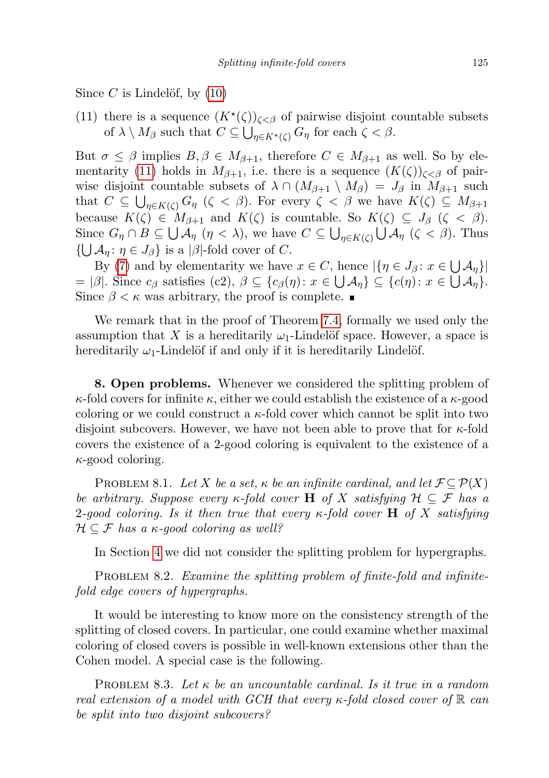<span id="page-30-0"></span>Since C is Lindelöf, by  $(10)$ 

(11) there is a sequence  $(K^*(\zeta))_{\zeta<\beta}$  of pairwise disjoint countable subsets of  $\lambda \setminus M_\beta$  such that  $C \subseteq \bigcup_{\eta \in K^*(\zeta)} G_\eta$  for each  $\zeta < \beta$ .

But  $\sigma \leq \beta$  implies  $B, \beta \in M_{\beta+1}$ , therefore  $C \in M_{\beta+1}$  as well. So by ele-mentarity [\(11\)](#page-30-0) holds in  $M_{\beta+1}$ , i.e. there is a sequence  $(K(\zeta))_{\zeta<\beta}$  of pairwise disjoint countable subsets of  $\lambda \cap (M_{\beta+1} \setminus M_{\beta}) = J_{\beta}$  in  $M_{\beta+1}$  such that  $C \subseteq \bigcup_{\eta \in K(\zeta)} G_{\eta}$   $(\zeta \leq \beta)$ . For every  $\zeta \leq \beta$  we have  $K(\zeta) \subseteq M_{\beta+1}$ because  $K(\zeta) \in M_{\beta+1}$  and  $K(\zeta)$  is countable. So  $K(\zeta) \subseteq J_\beta$   $(\zeta \langle \beta \rangle)$ . Since  $G_{\eta} \cap B \subseteq \bigcup A_{\eta}$   $(\eta < \lambda)$ , we have  $C \subseteq \bigcup_{\eta \in K(\zeta)} \bigcup A_{\eta}$   $(\zeta < \beta)$ . Thus  $\{\bigcup \mathcal{A}_{\eta} : \eta \in J_{\beta}\}\$ is a | $\beta$ |-fold cover of C.

By [\(7\)](#page-29-3) and by elementarity we have  $x \in C$ , hence  $|\{\eta \in J_{\beta} : x \in \bigcup \mathcal{A}_{\eta}\}|$  $= |\beta|$ . Since  $c_{\beta}$  satisfies (c2),  $\beta \subseteq \{c_{\beta}(\eta): x \in \bigcup \mathcal{A}_{\eta}\} \subseteq \{c(\eta): x \in \bigcup \mathcal{A}_{\eta}\}.$ Since  $\beta < \kappa$  was arbitrary, the proof is complete.

We remark that in the proof of Theorem [7.4,](#page-27-0) formally we used only the assumption that X is a hereditarily  $\omega_1$ -Lindelöf space. However, a space is hereditarily  $\omega_1$ -Lindelöf if and only if it is hereditarily Lindelöf.

8. Open problems. Whenever we considered the splitting problem of  $\kappa$ -fold covers for infinite  $\kappa$ , either we could establish the existence of a  $\kappa$ -good coloring or we could construct a  $\kappa$ -fold cover which cannot be split into two disjoint subcovers. However, we have not been able to prove that for  $\kappa$ -fold covers the existence of a 2-good coloring is equivalent to the existence of a  $\kappa$ -good coloring.

PROBLEM 8.1. Let X be a set,  $\kappa$  be an infinite cardinal, and let  $\mathcal{F} \subseteq \mathcal{P}(X)$ be arbitrary. Suppose every  $\kappa$ -fold cover **H** of X satisfying  $\mathcal{H} \subseteq \mathcal{F}$  has a 2-good coloring. Is it then true that every  $\kappa$ -fold cover **H** of X satisfying  $\mathcal{H} \subseteq \mathcal{F}$  has a  $\kappa$ -good coloring as well?

In Section [4](#page-8-0) we did not consider the splitting problem for hypergraphs.

PROBLEM 8.2. Examine the splitting problem of finite-fold and infinitefold edge covers of hypergraphs.

It would be interesting to know more on the consistency strength of the splitting of closed covers. In particular, one could examine whether maximal coloring of closed covers is possible in well-known extensions other than the Cohen model. A special case is the following.

PROBLEM 8.3. Let  $\kappa$  be an uncountable cardinal. Is it true in a random real extension of a model with GCH that every  $\kappa$ -fold closed cover of  $\mathbb R$  can be split into two disjoint subcovers?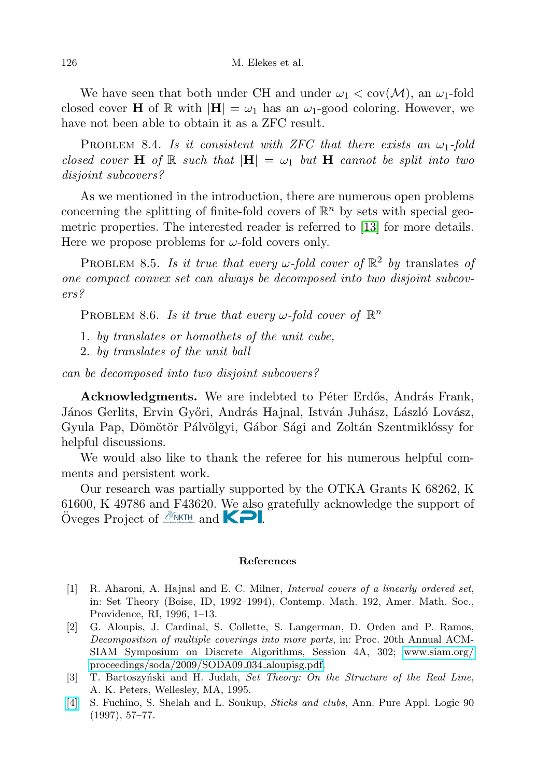We have seen that both under CH and under  $\omega_1 < \text{cov}(\mathcal{M})$ , an  $\omega_1$ -fold closed cover **H** of R with  $|\mathbf{H}| = \omega_1$  has an  $\omega_1$ -good coloring. However, we have not been able to obtain it as a ZFC result.

PROBLEM 8.4. Is it consistent with ZFC that there exists an  $\omega_1$ -fold closed cover **H** of  $\mathbb R$  such that  $|\mathbf{H}| = \omega_1$  but **H** cannot be split into two disjoint subcovers?

As we mentioned in the introduction, there are numerous open problems concerning the splitting of finite-fold covers of  $\mathbb{R}^n$  by sets with special geometric properties. The interested reader is referred to [\[13\]](#page-32-3) for more details. Here we propose problems for  $\omega$ -fold covers only.

PROBLEM 8.5. Is it true that every  $\omega$ -fold cover of  $\mathbb{R}^2$  by translates of one compact convex set can always be decomposed into two disjoint subcovers?

PROBLEM 8.6. Is it true that every  $\omega$ -fold cover of  $\mathbb{R}^n$ 

- 1. by translates or homothets of the unit cube,
- 2. by translates of the unit ball

can be decomposed into two disjoint subcovers?

Acknowledgments. We are indebted to Péter Erdős, András Frank, János Gerlits, Ervin Győri, András Hajnal, István Juhász, László Lovász, Gyula Pap, Dömötör Pálvölgyi, Gábor Sági and Zoltán Szentmiklóssy for helpful discussions.

We would also like to thank the referee for his numerous helpful comments and persistent work.

Our research was partially supported by the OTKA Grants K 68262, K 61600, K 49786 and F43620. We also gratefully acknowledge the support of  $\ddot{\text{O}}$  veges Project of  $\frac{\partial^2 \text{NKTH}}{\partial \text{NKTH}}$  and  $\blacktriangleright$ .

### References

- <span id="page-31-1"></span>[1] R. Aharoni, A. Hajnal and E. C. Milner, Interval covers of a linearly ordered set, in: Set Theory (Boise, ID, 1992–1994), Contemp. Math. 192, Amer. Math. Soc., Providence, RI, 1996, 1–13.
- <span id="page-31-0"></span>[2] G. Aloupis, J. Cardinal, S. Collette, S. Langerman, D. Orden and P. Ramos, Decomposition of multiple coverings into more parts, in: Proc. 20th Annual ACM-SIAM Symposium on Discrete Algorithms, Session 4A, 302; [www.siam.org/](http://www.siam.org/proceedings/soda/2009/SODA09_034_aloupisg.pdf) [proceedings/soda/2009/SODA09](http://www.siam.org/proceedings/soda/2009/SODA09_034_aloupisg.pdf) 034 aloupisg.pdf.
- <span id="page-31-3"></span>[3] T. Bartoszyński and H. Judah, Set Theory: On the Structure of the Real Line, A. K. Peters, Wellesley, MA, 1995.
- <span id="page-31-2"></span>[\[4\]](http://dx.doi.org/10.1016/S0168-0072(97)00030-4) S. Fuchino, S. Shelah and L. Soukup, Sticks and clubs, Ann. Pure Appl. Logic 90 (1997), 57–77.